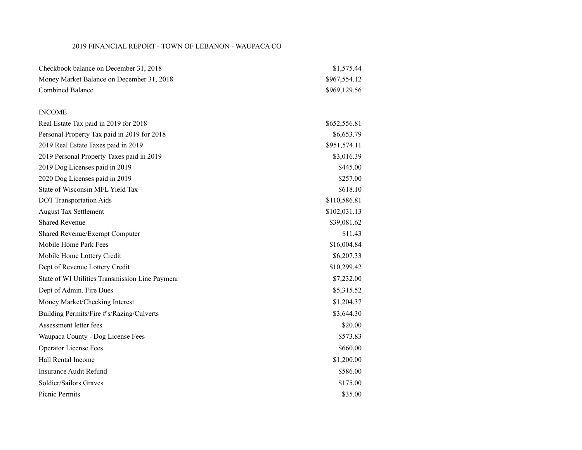### 2019 FINANCIAL REPORT - TOWN OF LEBANON - WAUPACA CO

| Checkbook balance on December 31, 2018          | \$1,575.44   |
|-------------------------------------------------|--------------|
| Money Market Balance on December 31, 2018       | \$967,554.12 |
| <b>Combined Balance</b>                         | \$969,129.56 |
|                                                 |              |
| <b>INCOME</b>                                   |              |
| Real Estate Tax paid in 2019 for 2018           | \$652,556.81 |
| Personal Property Tax paid in 2019 for 2018     | \$6,653.79   |
| 2019 Real Estate Taxes paid in 2019             | \$951,574.11 |
| 2019 Personal Property Taxes paid in 2019       | \$3,016.39   |
| 2019 Dog Licenses paid in 2019                  | \$445.00     |
| 2020 Dog Licenses paid in 2019                  | \$257.00     |
| State of Wisconsin MFL Yield Tax                | \$618.10     |
| <b>DOT Transportation Aids</b>                  | \$110,586.81 |
| <b>August Tax Settlement</b>                    | \$102,031.13 |
| <b>Shared Revenue</b>                           | \$39,081.62  |
| Shared Revenue/Exempt Computer                  | \$11.43      |
| Mobile Home Park Fees                           | \$16,004.84  |
| Mobile Home Lottery Credit                      | \$6,207.33   |
| Dept of Revenue Lottery Credit                  | \$10,299.42  |
| State of WI Utilities Transmission Line Paymenr | \$7,232.00   |
| Dept of Admin. Fire Dues                        | \$5,315.52   |
| Money Market/Checking Interest                  | \$1,204.37   |
| Building Permits/Fire #'s/Razing/Culverts       | \$3,644.30   |
| Assessment letter fees                          | \$20.00      |
| Waupaca County - Dog License Fees               | \$573.83     |
| <b>Operator License Fees</b>                    | \$660.00     |
| Hall Rental Income                              | \$1,200.00   |
| <b>Insurance Audit Refund</b>                   | \$586.00     |
| Soldier/Sailors Graves                          | \$175.00     |
| Picnic Permits                                  | \$35.00      |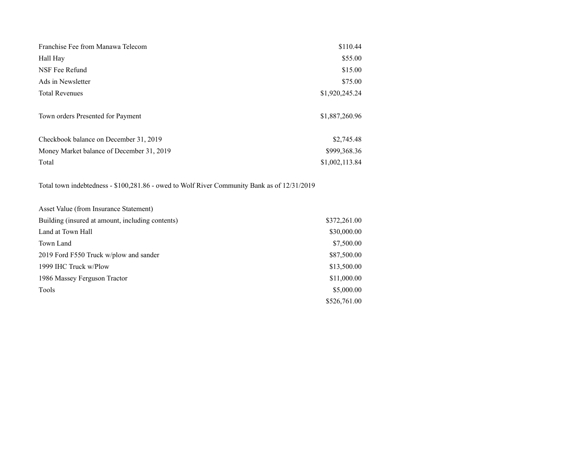| Franchise Fee from Manawa Telecom         | \$110.44       |
|-------------------------------------------|----------------|
| Hall Hay                                  | \$55.00        |
| NSF Fee Refund                            | \$15.00        |
| Ads in Newsletter                         | \$75.00        |
| <b>Total Revenues</b>                     | \$1,920,245.24 |
| Town orders Presented for Payment         | \$1,887,260.96 |
| Checkbook balance on December 31, 2019    | \$2,745.48     |
| Money Market balance of December 31, 2019 | \$999,368.36   |
| Total                                     | \$1,002,113.84 |

Total town indebtedness - \$100,281.86 - owed to Wolf River Community Bank as of 12/31/2019

| Asset Value (from Insurance Statement)           |              |
|--------------------------------------------------|--------------|
| Building (insured at amount, including contents) | \$372,261.00 |
| Land at Town Hall                                | \$30,000.00  |
| Town Land                                        | \$7,500.00   |
| 2019 Ford F550 Truck w/plow and sander           | \$87,500.00  |
| 1999 IHC Truck w/Plow                            | \$13,500.00  |
| 1986 Massey Ferguson Tractor                     | \$11,000.00  |
| Tools                                            | \$5,000.00   |
|                                                  | \$526,761.00 |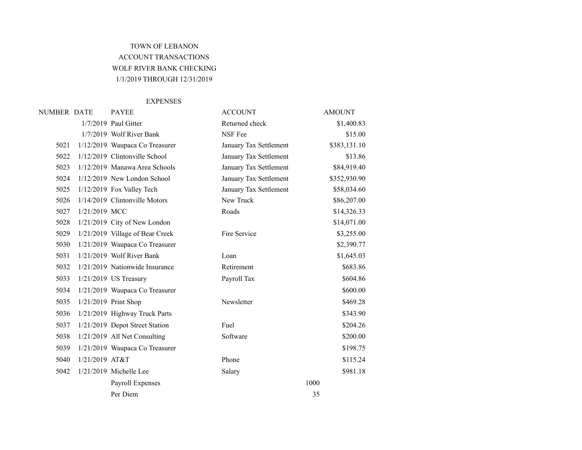## TOWN OF LEBANON ACCOUNT TRANSACTIONS WOLF RIVER BANK CHECKING 1/1/2019 THROUGH 12/31/2019

#### EXPENSES

| NUMBER DATE |                | <b>PAYEE</b>                    | <b>ACCOUNT</b>         | <b>AMOUNT</b> |
|-------------|----------------|---------------------------------|------------------------|---------------|
|             |                | 1/7/2019 Paul Gitter            | Returned check         | \$1,400.83    |
|             |                | 1/7/2019 Wolf River Bank        | NSF Fee                | \$15.00       |
| 5021        |                | 1/12/2019 Waupaca Co Treasurer  | January Tax Settlement | \$383,131.10  |
| 5022        |                | 1/12/2019 Clintonville School   | January Tax Settlement | \$13.86       |
| 5023        |                | 1/12/2019 Manawa Area Schools   | January Tax Settlement | \$84,919.40   |
| 5024        |                | $1/12/2019$ New London School   | January Tax Settlement | \$352,930.90  |
| 5025        |                | 1/12/2019 Fox Valley Tech       | January Tax Settlement | \$58,034.60   |
| 5026        |                | 1/14/2019 Clintonville Motors   | New Truck              | \$86,207.00   |
| 5027        | 1/21/2019 MCC  |                                 | Roads                  | \$14,326.33   |
| 5028        |                | 1/21/2019 City of New London    |                        | \$14,071.00   |
| 5029        |                | 1/21/2019 Village of Bear Creek | Fire Service           | \$3,255.00    |
| 5030        |                | 1/21/2019 Waupaca Co Treasurer  |                        | \$2,390.77    |
| 5031        |                | 1/21/2019 Wolf River Bank       | Loan                   | \$1,645.03    |
| 5032        |                | 1/21/2019 Nationwide Insurance  | Retirement             | \$683.86      |
| 5033        |                | 1/21/2019 US Treasury           | Payroll Tax            | \$604.86      |
| 5034        |                | 1/21/2019 Waupaca Co Treasurer  |                        | \$600.00      |
| 5035        |                | 1/21/2019 Print Shop            | Newsletter             | \$469.28      |
| 5036        |                | 1/21/2019 Highway Truck Parts   |                        | \$343.90      |
| 5037        |                | 1/21/2019 Depot Street Station  | Fuel                   | \$204.26      |
| 5038        |                | 1/21/2019 All Net Consulting    | Software               | \$200.00      |
| 5039        |                | 1/21/2019 Waupaca Co Treasurer  |                        | \$198.75      |
| 5040        | 1/21/2019 AT&T |                                 | Phone                  | \$115.24      |
| 5042        |                | $1/21/2019$ Michelle Lee        | Salary                 | \$981.18      |
|             |                | Payroll Expenses                |                        | 1000          |
|             |                | Per Diem                        |                        | 35            |
|             |                |                                 |                        |               |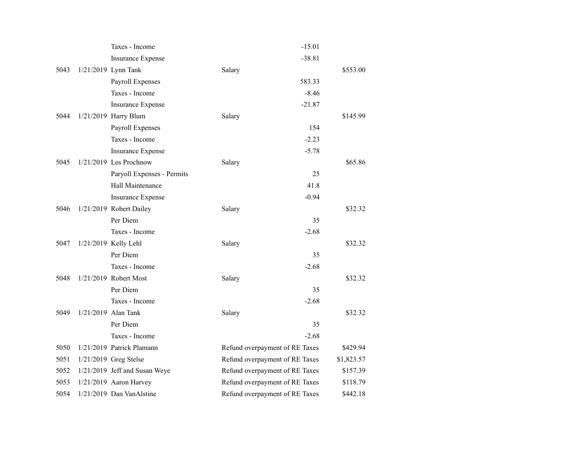|      | Taxes - Income                | $-15.01$                       |            |
|------|-------------------------------|--------------------------------|------------|
|      | <b>Insurance Expense</b>      | $-38.81$                       |            |
| 5043 | 1/21/2019 Lynn Tank           | Salary                         | \$553.00   |
|      | Payroll Expenses              | 583.33                         |            |
|      | Taxes - Income                | $-8.46$                        |            |
|      | <b>Insurance Expense</b>      | $-21.87$                       |            |
| 5044 | 1/21/2019 Harry Blum          | Salary                         | \$145.99   |
|      | Payroll Expenses              | 154                            |            |
|      | Taxes - Income                | $-2.23$                        |            |
|      | <b>Insurance Expense</b>      | $-5.78$                        |            |
| 5045 | $1/21/2019$ Les Prochnow      | Salary                         | \$65.86    |
|      | Paryoll Expenses - Permits    | 25                             |            |
|      | Hall Maintenance              | 41.8                           |            |
|      | <b>Insurance Expense</b>      | $-0.94$                        |            |
| 5046 | 1/21/2019 Robert Dailey       | Salary                         | \$32.32    |
|      | Per Diem                      | 35                             |            |
|      | Taxes - Income                | $-2.68$                        |            |
| 5047 | 1/21/2019 Kelly Lehl          | Salary                         | \$32.32    |
|      | Per Diem                      | 35                             |            |
|      | Taxes - Income                | $-2.68$                        |            |
| 5048 | 1/21/2019 Robert Most         | Salary                         | \$32.32    |
|      | Per Diem                      | 35                             |            |
|      | Taxes - Income                | $-2.68$                        |            |
| 5049 | 1/21/2019 Alan Tank           | Salary                         | \$32.32    |
|      | Per Diem                      | 35                             |            |
|      | Taxes - Income                | $-2.68$                        |            |
| 5050 | 1/21/2019 Patrick Plamann     | Refund overpayment of RE Taxes | \$429.94   |
| 5051 | 1/21/2019 Greg Stelse         | Refund overpayment of RE Taxes | \$1,823.57 |
| 5052 | 1/21/2019 Jeff and Susan Weye | Refund overpayment of RE Taxes | \$157.39   |
| 5053 | $1/21/2019$ Aaron Harvey      | Refund overpayment of RE Taxes | \$118.79   |
| 5054 | 1/21/2019 Dan VanAlstine      | Refund overpayment of RE Taxes | \$442.18   |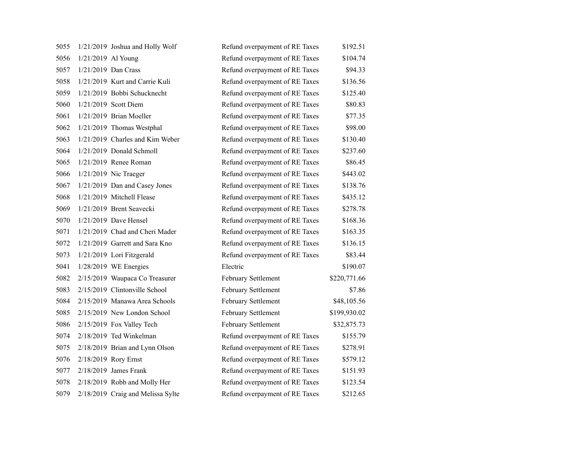| 5055 |                    | 1/21/2019 Joshua and Holly Wolf   | Refund overpayment of RE Taxes | \$192.51     |
|------|--------------------|-----------------------------------|--------------------------------|--------------|
| 5056 | 1/21/2019 Al Young |                                   | Refund overpayment of RE Taxes | \$104.74     |
| 5057 |                    | 1/21/2019 Dan Crass               | Refund overpayment of RE Taxes | \$94.33      |
| 5058 |                    | 1/21/2019 Kurt and Carrie Kuli    | Refund overpayment of RE Taxes | \$136.56     |
| 5059 |                    | 1/21/2019 Bobbi Schucknecht       | Refund overpayment of RE Taxes | \$125.40     |
| 5060 |                    | 1/21/2019 Scott Diem              | Refund overpayment of RE Taxes | \$80.83      |
| 5061 |                    | 1/21/2019 Brian Moeller           | Refund overpayment of RE Taxes | \$77.35      |
| 5062 |                    | 1/21/2019 Thomas Westphal         | Refund overpayment of RE Taxes | \$98.00      |
| 5063 |                    | 1/21/2019 Charles and Kim Weber   | Refund overpayment of RE Taxes | \$130.40     |
| 5064 |                    | 1/21/2019 Donald Schmoll          | Refund overpayment of RE Taxes | \$237.60     |
| 5065 |                    | $1/21/2019$ Renee Roman           | Refund overpayment of RE Taxes | \$86.45      |
| 5066 |                    | $1/21/2019$ Nic Traeger           | Refund overpayment of RE Taxes | \$443.02     |
| 5067 |                    | 1/21/2019 Dan and Casey Jones     | Refund overpayment of RE Taxes | \$138.76     |
| 5068 |                    | 1/21/2019 Mitchell Flease         | Refund overpayment of RE Taxes | \$435.12     |
| 5069 |                    | 1/21/2019 Brent Seavecki          | Refund overpayment of RE Taxes | \$278.78     |
| 5070 |                    | 1/21/2019 Dave Hensel             | Refund overpayment of RE Taxes | \$168.36     |
| 5071 |                    | 1/21/2019 Chad and Cheri Mader    | Refund overpayment of RE Taxes | \$163.35     |
| 5072 |                    | 1/21/2019 Garrett and Sara Kno    | Refund overpayment of RE Taxes | \$136.15     |
| 5073 |                    | 1/21/2019 Lori Fitzgerald         | Refund overpayment of RE Taxes | \$83.44      |
| 5041 |                    | $1/28/2019$ WE Energies           | Electric                       | \$190.07     |
| 5082 |                    | 2/15/2019 Waupaca Co Treasurer    | February Settlement            | \$220,771.66 |
| 5083 |                    | 2/15/2019 Clintonville School     | February Settlement            | \$7.86       |
| 5084 |                    | 2/15/2019 Manawa Area Schools     | February Settlement            | \$48,105.56  |
| 5085 |                    | 2/15/2019 New London School       | February Settlement            | \$199,930.02 |
| 5086 |                    | 2/15/2019 Fox Valley Tech         | February Settlement            | \$32,875.73  |
| 5074 |                    | 2/18/2019 Ted Winkelman           | Refund overpayment of RE Taxes | \$155.79     |
| 5075 |                    | 2/18/2019 Brian and Lynn Olson    | Refund overpayment of RE Taxes | \$278.91     |
| 5076 |                    | 2/18/2019 Rory Ernst              | Refund overpayment of RE Taxes | \$579.12     |
| 5077 |                    | $2/18/2019$ James Frank           | Refund overpayment of RE Taxes | \$151.93     |
| 5078 |                    | 2/18/2019 Robb and Molly Her      | Refund overpayment of RE Taxes | \$123.54     |
| 5079 |                    | 2/18/2019 Craig and Melissa Sylte | Refund overpayment of RE Taxes | \$212.65     |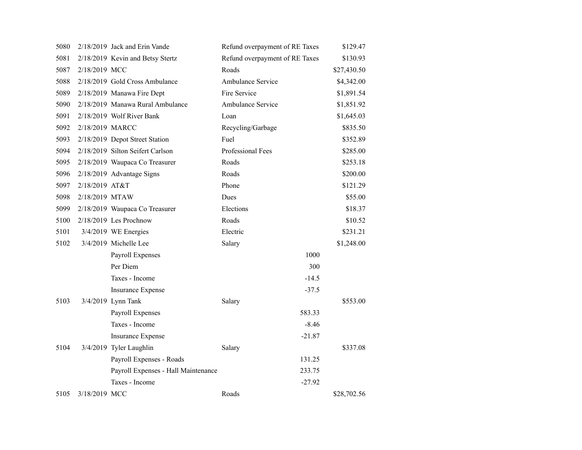| 5080 |                 | 2/18/2019 Jack and Erin Vande       | Refund overpayment of RE Taxes | \$129.47    |
|------|-----------------|-------------------------------------|--------------------------------|-------------|
| 5081 |                 | 2/18/2019 Kevin and Betsy Stertz    | Refund overpayment of RE Taxes | \$130.93    |
| 5087 | 2/18/2019 MCC   |                                     | Roads                          | \$27,430.50 |
| 5088 |                 | 2/18/2019 Gold Cross Ambulance      | Ambulance Service              | \$4,342.00  |
| 5089 |                 | 2/18/2019 Manawa Fire Dept          | Fire Service                   | \$1,891.54  |
| 5090 |                 | 2/18/2019 Manawa Rural Ambulance    | Ambulance Service              | \$1,851.92  |
| 5091 |                 | 2/18/2019 Wolf River Bank           | Loan                           | \$1,645.03  |
| 5092 | 2/18/2019 MARCC |                                     | Recycling/Garbage              | \$835.50    |
| 5093 |                 | 2/18/2019 Depot Street Station      | Fuel                           | \$352.89    |
| 5094 |                 | 2/18/2019 Silton Seifert Carlson    | Professional Fees              | \$285.00    |
| 5095 |                 | 2/18/2019 Waupaca Co Treasurer      | Roads                          | \$253.18    |
| 5096 |                 | 2/18/2019 Advantage Signs           | Roads                          | \$200.00    |
| 5097 | 2/18/2019 AT&T  |                                     | Phone                          | \$121.29    |
| 5098 | 2/18/2019 MTAW  |                                     | Dues                           | \$55.00     |
| 5099 |                 | 2/18/2019 Waupaca Co Treasurer      | Elections                      | \$18.37     |
| 5100 |                 | $2/18/2019$ Les Prochnow            | Roads                          | \$10.52     |
| 5101 |                 | 3/4/2019 WE Energies                | Electric                       | \$231.21    |
| 5102 |                 | 3/4/2019 Michelle Lee               | Salary                         | \$1,248.00  |
|      |                 | Payroll Expenses                    | 1000                           |             |
|      |                 | Per Diem                            | 300                            |             |
|      |                 | Taxes - Income                      | $-14.5$                        |             |
|      |                 | <b>Insurance Expense</b>            | $-37.5$                        |             |
| 5103 |                 | 3/4/2019 Lynn Tank                  | Salary                         | \$553.00    |
|      |                 | Payroll Expenses                    | 583.33                         |             |
|      |                 | Taxes - Income                      | $-8.46$                        |             |
|      |                 | <b>Insurance Expense</b>            | $-21.87$                       |             |
| 5104 |                 | 3/4/2019 Tyler Laughlin             | Salary                         | \$337.08    |
|      |                 | Payroll Expenses - Roads            | 131.25                         |             |
|      |                 | Payroll Expenses - Hall Maintenance | 233.75                         |             |
|      |                 | Taxes - Income                      | $-27.92$                       |             |
| 5105 | 3/18/2019 MCC   |                                     | Roads                          | \$28,702.56 |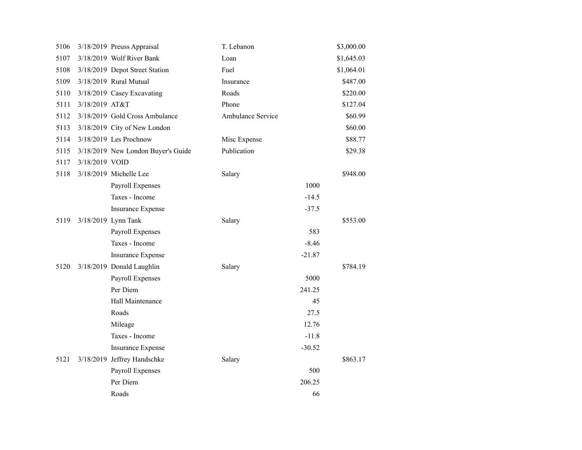| 5106 |                | 3/18/2019 Preuss Appraisal         | T. Lebanon        |          | \$3,000.00 |
|------|----------------|------------------------------------|-------------------|----------|------------|
| 5107 |                | 3/18/2019 Wolf River Bank          | Loan              |          | \$1,645.03 |
| 5108 |                | 3/18/2019 Depot Street Station     | Fuel              |          | \$1,064.01 |
| 5109 |                | 3/18/2019 Rural Mutual             | Insurance         |          | \$487.00   |
| 5110 |                | 3/18/2019 Casey Excavating         | Roads             |          | \$220.00   |
| 5111 | 3/18/2019 AT&T |                                    | Phone             |          | \$127.04   |
| 5112 |                | 3/18/2019 Gold Cross Ambulance     | Ambulance Service |          | \$60.99    |
| 5113 |                | 3/18/2019 City of New London       |                   |          | \$60.00    |
| 5114 |                | 3/18/2019 Les Prochnow             | Misc Expense      |          | \$88.77    |
| 5115 |                | 3/18/2019 New London Buyer's Guide | Publication       |          | \$29.38    |
| 5117 | 3/18/2019 VOID |                                    |                   |          |            |
| 5118 |                | 3/18/2019 Michelle Lee             | Salary            |          | \$948.00   |
|      |                | Payroll Expenses                   |                   | 1000     |            |
|      |                | Taxes - Income                     |                   | $-14.5$  |            |
|      |                | Insurance Expense                  |                   | $-37.5$  |            |
| 5119 |                | 3/18/2019 Lynn Tank                | Salary            |          | \$553.00   |
|      |                | Payroll Expenses                   |                   | 583      |            |
|      |                | Taxes - Income                     |                   | $-8.46$  |            |
|      |                | <b>Insurance Expense</b>           |                   | $-21.87$ |            |
| 5120 |                | 3/18/2019 Donald Laughlin          | Salary            |          | \$784.19   |
|      |                | Payroll Expenses                   |                   | 5000     |            |
|      |                | Per Diem                           |                   | 241.25   |            |
|      |                | Hall Maintenance                   |                   | 45       |            |
|      |                | Roads                              |                   | 27.5     |            |
|      |                | Mileage                            |                   | 12.76    |            |
|      |                | Taxes - Income                     |                   | $-11.8$  |            |
|      |                | <b>Insurance Expense</b>           |                   | $-30.52$ |            |
| 5121 |                | 3/18/2019 Jeffrey Handschke        | Salary            |          | \$863.17   |
|      |                | Payroll Expenses                   |                   | 500      |            |
|      |                | Per Diem                           |                   | 206.25   |            |
|      |                | Roads                              |                   | 66       |            |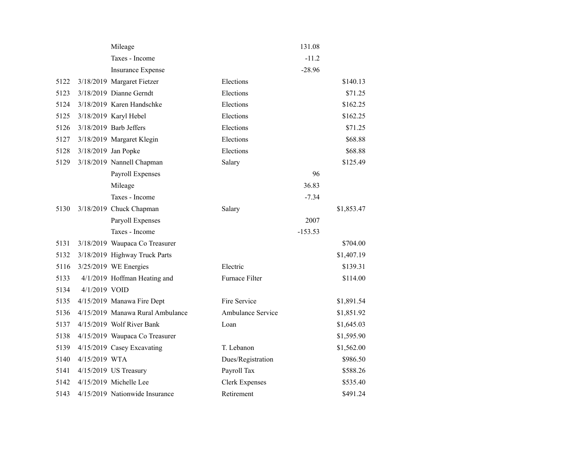|      |                     | Mileage                          |                       | 131.08    |            |
|------|---------------------|----------------------------------|-----------------------|-----------|------------|
|      |                     | Taxes - Income                   |                       | $-11.2$   |            |
|      |                     | <b>Insurance Expense</b>         |                       | $-28.96$  |            |
| 5122 |                     | 3/18/2019 Margaret Fietzer       | Elections             |           | \$140.13   |
| 5123 |                     | 3/18/2019 Dianne Gerndt          | Elections             |           | \$71.25    |
| 5124 |                     | 3/18/2019 Karen Handschke        | Elections             |           | \$162.25   |
| 5125 |                     | 3/18/2019 Karyl Hebel            | Elections             |           | \$162.25   |
| 5126 |                     | $3/18/2019$ Barb Jeffers         | Elections             |           | \$71.25    |
| 5127 |                     | 3/18/2019 Margaret Klegin        | Elections             |           | \$68.88    |
| 5128 | 3/18/2019 Jan Popke |                                  | Elections             |           | \$68.88    |
| 5129 |                     | 3/18/2019 Nannell Chapman        | Salary                |           | \$125.49   |
|      |                     | Payroll Expenses                 |                       | 96        |            |
|      |                     | Mileage                          |                       | 36.83     |            |
|      |                     | Taxes - Income                   |                       | $-7.34$   |            |
| 5130 |                     | 3/18/2019 Chuck Chapman          | Salary                |           | \$1,853.47 |
|      |                     | Paryoll Expenses                 |                       | 2007      |            |
|      |                     | Taxes - Income                   |                       | $-153.53$ |            |
| 5131 |                     | 3/18/2019 Waupaca Co Treasurer   |                       |           | \$704.00   |
| 5132 |                     | 3/18/2019 Highway Truck Parts    |                       |           | \$1,407.19 |
| 5116 |                     | 3/25/2019 WE Energies            | Electric              |           | \$139.31   |
| 5133 |                     | 4/1/2019 Hoffman Heating and     | Furnace Filter        |           | \$114.00   |
| 5134 | 4/1/2019 VOID       |                                  |                       |           |            |
| 5135 |                     | 4/15/2019 Manawa Fire Dept       | Fire Service          |           | \$1,891.54 |
| 5136 |                     | 4/15/2019 Manawa Rural Ambulance | Ambulance Service     |           | \$1,851.92 |
| 5137 |                     | 4/15/2019 Wolf River Bank        | Loan                  |           | \$1,645.03 |
| 5138 |                     | 4/15/2019 Waupaca Co Treasurer   |                       |           | \$1,595.90 |
| 5139 |                     | 4/15/2019 Casey Excavating       | T. Lebanon            |           | \$1,562.00 |
| 5140 | 4/15/2019 WTA       |                                  | Dues/Registration     |           | \$986.50   |
| 5141 |                     | 4/15/2019 US Treasury            | Payroll Tax           |           | \$588.26   |
| 5142 |                     | 4/15/2019 Michelle Lee           | <b>Clerk Expenses</b> |           | \$535.40   |
| 5143 |                     | 4/15/2019 Nationwide Insurance   | Retirement            |           | \$491.24   |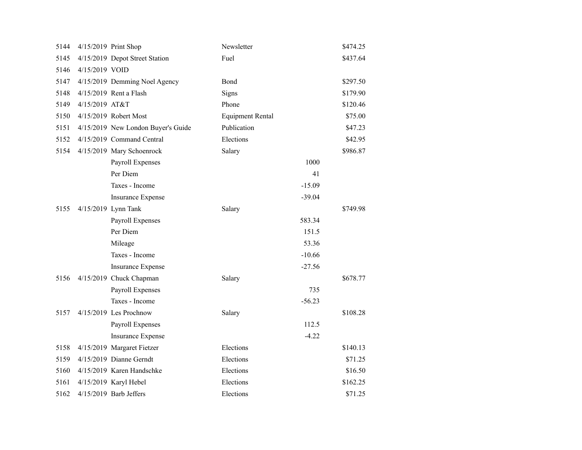| 5144 |                | 4/15/2019 Print Shop               | Newsletter              |          | \$474.25 |
|------|----------------|------------------------------------|-------------------------|----------|----------|
| 5145 |                | 4/15/2019 Depot Street Station     | Fuel                    |          | \$437.64 |
| 5146 | 4/15/2019 VOID |                                    |                         |          |          |
| 5147 |                | 4/15/2019 Demming Noel Agency      | Bond                    |          | \$297.50 |
| 5148 |                | 4/15/2019 Rent a Flash             | Signs                   |          | \$179.90 |
| 5149 | 4/15/2019 AT&T |                                    | Phone                   |          | \$120.46 |
| 5150 |                | 4/15/2019 Robert Most              | <b>Equipment Rental</b> |          | \$75.00  |
| 5151 |                | 4/15/2019 New London Buyer's Guide | Publication             |          | \$47.23  |
| 5152 |                | 4/15/2019 Command Central          | Elections               |          | \$42.95  |
| 5154 |                | 4/15/2019 Mary Schoenrock          | Salary                  |          | \$986.87 |
|      |                | Payroll Expenses                   |                         | 1000     |          |
|      |                | Per Diem                           |                         | 41       |          |
|      |                | Taxes - Income                     |                         | $-15.09$ |          |
|      |                | Insurance Expense                  |                         | $-39.04$ |          |
| 5155 |                | 4/15/2019 Lynn Tank                | Salary                  |          | \$749.98 |
|      |                | Payroll Expenses                   |                         | 583.34   |          |
|      |                | Per Diem                           |                         | 151.5    |          |
|      |                | Mileage                            |                         | 53.36    |          |
|      |                | Taxes - Income                     |                         | $-10.66$ |          |
|      |                | <b>Insurance Expense</b>           |                         | $-27.56$ |          |
| 5156 |                | 4/15/2019 Chuck Chapman            | Salary                  |          | \$678.77 |
|      |                | Payroll Expenses                   |                         | 735      |          |
|      |                | Taxes - Income                     |                         | $-56.23$ |          |
| 5157 |                | 4/15/2019 Les Prochnow             | Salary                  |          | \$108.28 |
|      |                | Payroll Expenses                   |                         | 112.5    |          |
|      |                | Insurance Expense                  |                         | $-4.22$  |          |
| 5158 |                | 4/15/2019 Margaret Fietzer         | Elections               |          | \$140.13 |
| 5159 |                | 4/15/2019 Dianne Gerndt            | Elections               |          | \$71.25  |
| 5160 |                | 4/15/2019 Karen Handschke          | Elections               |          | \$16.50  |
| 5161 |                | 4/15/2019 Karyl Hebel              | Elections               |          | \$162.25 |
| 5162 |                | $4/15/2019$ Barb Jeffers           | Elections               |          | \$71.25  |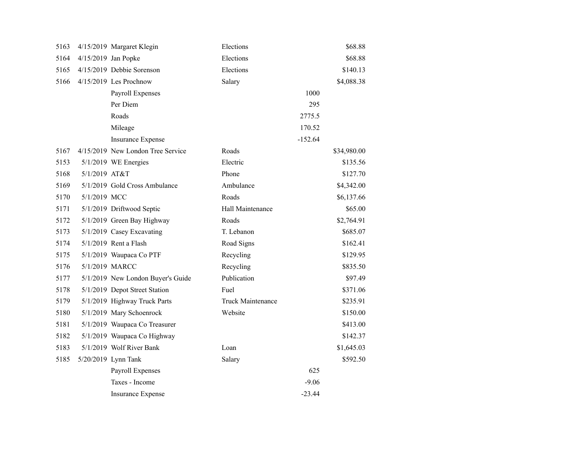| 5163 |                     | 4/15/2019 Margaret Klegin         | Elections         |           | \$68.88     |
|------|---------------------|-----------------------------------|-------------------|-----------|-------------|
| 5164 | 4/15/2019 Jan Popke |                                   | Elections         |           | \$68.88     |
| 5165 |                     | 4/15/2019 Debbie Sorenson         | Elections         |           | \$140.13    |
| 5166 |                     | 4/15/2019 Les Prochnow            | Salary            |           | \$4,088.38  |
|      |                     | Payroll Expenses                  |                   | 1000      |             |
|      |                     | Per Diem                          |                   | 295       |             |
|      |                     | Roads                             |                   | 2775.5    |             |
|      |                     | Mileage                           |                   | 170.52    |             |
|      |                     | <b>Insurance Expense</b>          |                   | $-152.64$ |             |
| 5167 |                     | 4/15/2019 New London Tree Service | Roads             |           | \$34,980.00 |
| 5153 |                     | $5/1/2019$ WE Energies            | Electric          |           | \$135.56    |
| 5168 | 5/1/2019 AT&T       |                                   | Phone             |           | \$127.70    |
| 5169 |                     | 5/1/2019 Gold Cross Ambulance     | Ambulance         |           | \$4,342.00  |
| 5170 | 5/1/2019 MCC        |                                   | Roads             |           | \$6,137.66  |
| 5171 |                     | 5/1/2019 Driftwood Septic         | Hall Maintenance  |           | \$65.00     |
| 5172 |                     | 5/1/2019 Green Bay Highway        | Roads             |           | \$2,764.91  |
| 5173 |                     | 5/1/2019 Casey Excavating         | T. Lebanon        |           | \$685.07    |
| 5174 |                     | 5/1/2019 Rent a Flash             | Road Signs        |           | \$162.41    |
| 5175 |                     | 5/1/2019 Waupaca Co PTF           | Recycling         |           | \$129.95    |
| 5176 | 5/1/2019 MARCC      |                                   | Recycling         |           | \$835.50    |
| 5177 |                     | 5/1/2019 New London Buyer's Guide | Publication       |           | \$97.49     |
| 5178 |                     | 5/1/2019 Depot Street Station     | Fuel              |           | \$371.06    |
| 5179 |                     | 5/1/2019 Highway Truck Parts      | Truck Maintenance |           | \$235.91    |
| 5180 |                     | 5/1/2019 Mary Schoenrock          | Website           |           | \$150.00    |
| 5181 |                     | 5/1/2019 Waupaca Co Treasurer     |                   |           | \$413.00    |
| 5182 |                     | 5/1/2019 Waupaca Co Highway       |                   |           | \$142.37    |
| 5183 |                     | 5/1/2019 Wolf River Bank          | Loan              |           | \$1,645.03  |
| 5185 |                     | 5/20/2019 Lynn Tank               | Salary            |           | \$592.50    |
|      |                     | Payroll Expenses                  |                   | 625       |             |
|      |                     | Taxes - Income                    |                   | $-9.06$   |             |
|      |                     | <b>Insurance Expense</b>          |                   | $-23.44$  |             |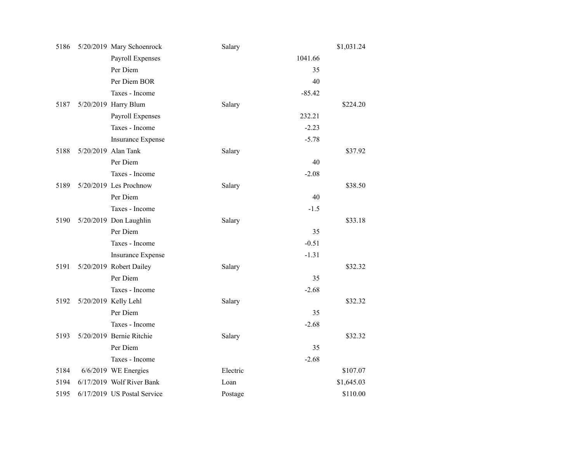| 5186 | 5/20/2019 Mary Schoenrock   | Salary   |          | \$1,031.24 |
|------|-----------------------------|----------|----------|------------|
|      | Payroll Expenses            |          | 1041.66  |            |
|      | Per Diem                    |          | 35       |            |
|      | Per Diem BOR                |          | 40       |            |
|      | Taxes - Income              |          | $-85.42$ |            |
| 5187 | 5/20/2019 Harry Blum        | Salary   |          | \$224.20   |
|      | Payroll Expenses            |          | 232.21   |            |
|      | Taxes - Income              |          | $-2.23$  |            |
|      | <b>Insurance Expense</b>    |          | $-5.78$  |            |
| 5188 | 5/20/2019 Alan Tank         | Salary   |          | \$37.92    |
|      | Per Diem                    |          | 40       |            |
|      | Taxes - Income              |          | $-2.08$  |            |
| 5189 | 5/20/2019 Les Prochnow      | Salary   |          | \$38.50    |
|      | Per Diem                    |          | 40       |            |
|      | Taxes - Income              |          | $-1.5$   |            |
| 5190 | 5/20/2019 Don Laughlin      | Salary   |          | \$33.18    |
|      | Per Diem                    |          | 35       |            |
|      | Taxes - Income              |          | $-0.51$  |            |
|      | <b>Insurance Expense</b>    |          | $-1.31$  |            |
| 5191 | 5/20/2019 Robert Dailey     | Salary   |          | \$32.32    |
|      | Per Diem                    |          | 35       |            |
|      | Taxes - Income              |          | $-2.68$  |            |
| 5192 | 5/20/2019 Kelly Lehl        | Salary   |          | \$32.32    |
|      | Per Diem                    |          | 35       |            |
|      | Taxes - Income              |          | $-2.68$  |            |
| 5193 | 5/20/2019 Bernie Ritchie    | Salary   |          | \$32.32    |
|      | Per Diem                    |          | 35       |            |
|      | Taxes - Income              |          | $-2.68$  |            |
| 5184 | 6/6/2019 WE Energies        | Electric |          | \$107.07   |
| 5194 | 6/17/2019 Wolf River Bank   | Loan     |          | \$1,645.03 |
| 5195 | 6/17/2019 US Postal Service | Postage  |          | \$110.00   |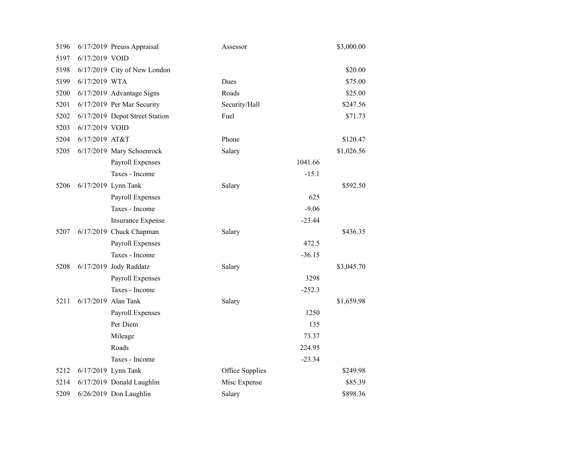| 5196 |                | 6/17/2019 Preuss Appraisal     | Assessor        | \$3,000.00 |
|------|----------------|--------------------------------|-----------------|------------|
| 5197 | 6/17/2019 VOID |                                |                 |            |
| 5198 |                | 6/17/2019 City of New London   |                 | \$20.00    |
| 5199 | 6/17/2019 WTA  |                                | Dues            | \$75.00    |
| 5200 |                | 6/17/2019 Advantage Signs      | Roads           | \$25.00    |
| 5201 |                | 6/17/2019 Per Mar Security     | Security/Hall   | \$247.56   |
| 5202 |                | 6/17/2019 Depot Street Station | Fuel            | \$71.73    |
| 5203 | 6/17/2019 VOID |                                |                 |            |
| 5204 | 6/17/2019 AT&T |                                | Phone           | \$120.47   |
| 5205 |                | 6/17/2019 Mary Schoenrock      | Salary          | \$1,026.56 |
|      |                | Payroll Expenses               | 1041.66         |            |
|      |                | Taxes - Income                 | $-15.1$         |            |
| 5206 |                | 6/17/2019 Lynn Tank            | Salary          | \$592.50   |
|      |                | Payroll Expenses               | 625             |            |
|      |                | Taxes - Income                 | $-9.06$         |            |
|      |                | <b>Insurance Expense</b>       | $-23.44$        |            |
| 5207 |                | 6/17/2019 Chuck Chapman        | Salary          | \$436.35   |
|      |                | Payroll Expenses               | 472.5           |            |
|      |                | Taxes - Income                 | $-36.15$        |            |
| 5208 |                | 6/17/2019 Jody Raddatz         | Salary          | \$3,045.70 |
|      |                | Payroll Expenses               | 3298            |            |
|      |                | Taxes - Income                 | $-252.3$        |            |
| 5211 |                | 6/17/2019 Alan Tank            | Salary          | \$1,659.98 |
|      |                | <b>Payroll Expenses</b>        | 1250            |            |
|      |                | Per Diem                       | 135             |            |
|      |                | Mileage                        | 73.37           |            |
|      |                | Roads                          | 224.95          |            |
|      |                | Taxes - Income                 | $-23.34$        |            |
| 5212 |                | 6/17/2019 Lynn Tank            | Office Supplies | \$249.98   |
| 5214 |                | 6/17/2019 Donald Laughlin      | Misc Expense    | \$85.39    |
| 5209 |                | 6/26/2019 Don Laughlin         | Salary          | \$898.36   |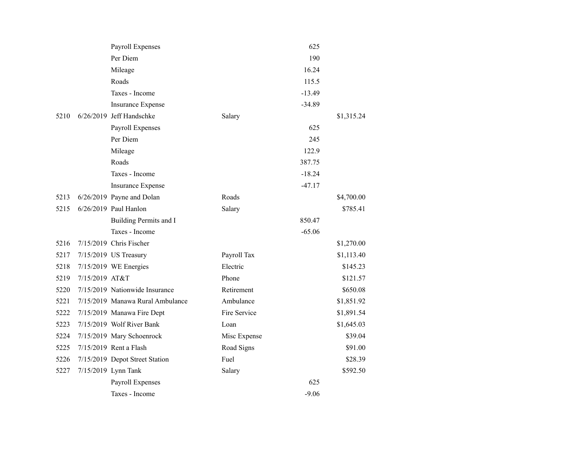|      |                | Payroll Expenses                 |              | 625      |            |
|------|----------------|----------------------------------|--------------|----------|------------|
|      |                | Per Diem                         |              | 190      |            |
|      |                | Mileage                          |              | 16.24    |            |
|      |                | Roads                            |              | 115.5    |            |
|      |                | Taxes - Income                   |              | $-13.49$ |            |
|      |                | <b>Insurance Expense</b>         |              | $-34.89$ |            |
| 5210 |                | 6/26/2019 Jeff Handschke         | Salary       |          | \$1,315.24 |
|      |                | Payroll Expenses                 |              | 625      |            |
|      |                | Per Diem                         |              | 245      |            |
|      |                | Mileage                          |              | 122.9    |            |
|      |                | Roads                            |              | 387.75   |            |
|      |                | Taxes - Income                   |              | $-18.24$ |            |
|      |                | Insurance Expense                |              | $-47.17$ |            |
| 5213 |                | 6/26/2019 Payne and Dolan        | Roads        |          | \$4,700.00 |
| 5215 |                | 6/26/2019 Paul Hanlon            | Salary       |          | \$785.41   |
|      |                | Building Permits and I           |              | 850.47   |            |
|      |                | Taxes - Income                   |              | $-65.06$ |            |
| 5216 |                | 7/15/2019 Chris Fischer          |              |          | \$1,270.00 |
| 5217 |                | 7/15/2019 US Treasury            | Payroll Tax  |          | \$1,113.40 |
| 5218 |                | 7/15/2019 WE Energies            | Electric     |          | \$145.23   |
| 5219 | 7/15/2019 AT&T |                                  | Phone        |          | \$121.57   |
| 5220 |                | 7/15/2019 Nationwide Insurance   | Retirement   |          | \$650.08   |
| 5221 |                | 7/15/2019 Manawa Rural Ambulance | Ambulance    |          | \$1,851.92 |
| 5222 |                | 7/15/2019 Manawa Fire Dept       | Fire Service |          | \$1,891.54 |
| 5223 |                | 7/15/2019 Wolf River Bank        | Loan         |          | \$1,645.03 |
| 5224 |                | 7/15/2019 Mary Schoenrock        | Misc Expense |          | \$39.04    |
| 5225 |                | 7/15/2019 Rent a Flash           | Road Signs   |          | \$91.00    |
| 5226 |                | 7/15/2019 Depot Street Station   | Fuel         |          | \$28.39    |
| 5227 |                | 7/15/2019 Lynn Tank              | Salary       |          | \$592.50   |
|      |                | Payroll Expenses                 |              | 625      |            |
|      |                | Taxes - Income                   |              | $-9.06$  |            |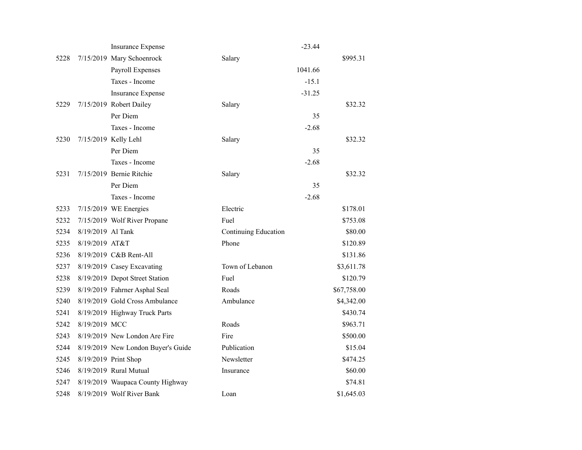|      |                   | <b>Insurance Expense</b>           |                      | $-23.44$ |             |
|------|-------------------|------------------------------------|----------------------|----------|-------------|
| 5228 |                   | 7/15/2019 Mary Schoenrock          | Salary               |          | \$995.31    |
|      |                   | Payroll Expenses                   | 1041.66              |          |             |
|      |                   | Taxes - Income                     |                      | $-15.1$  |             |
|      |                   | <b>Insurance Expense</b>           |                      | $-31.25$ |             |
| 5229 |                   | 7/15/2019 Robert Dailey            | Salary               |          | \$32.32     |
|      |                   | Per Diem                           |                      | 35       |             |
|      |                   | Taxes - Income                     |                      | $-2.68$  |             |
| 5230 |                   | 7/15/2019 Kelly Lehl               | Salary               |          | \$32.32     |
|      |                   | Per Diem                           |                      | 35       |             |
|      |                   | Taxes - Income                     |                      | $-2.68$  |             |
| 5231 |                   | 7/15/2019 Bernie Ritchie           | Salary               |          | \$32.32     |
|      |                   | Per Diem                           |                      | 35       |             |
|      |                   | Taxes - Income                     |                      | $-2.68$  |             |
| 5233 |                   | 7/15/2019 WE Energies              | Electric             |          | \$178.01    |
| 5232 |                   | 7/15/2019 Wolf River Propane       | Fuel                 |          | \$753.08    |
| 5234 | 8/19/2019 Al Tank |                                    | Continuing Education |          | \$80.00     |
| 5235 | 8/19/2019 AT&T    |                                    | Phone                |          | \$120.89    |
| 5236 |                   | 8/19/2019 C&B Rent-All             |                      |          | \$131.86    |
| 5237 |                   | 8/19/2019 Casey Excavating         | Town of Lebanon      |          | \$3,611.78  |
| 5238 |                   | 8/19/2019 Depot Street Station     | Fuel                 |          | \$120.79    |
| 5239 |                   | 8/19/2019 Fahrner Asphal Seal      | Roads                |          | \$67,758.00 |
| 5240 |                   | 8/19/2019 Gold Cross Ambulance     | Ambulance            |          | \$4,342.00  |
| 5241 |                   | 8/19/2019 Highway Truck Parts      |                      |          | \$430.74    |
| 5242 | 8/19/2019 MCC     |                                    | Roads                |          | \$963.71    |
| 5243 |                   | 8/19/2019 New London Are Fire      | Fire                 |          | \$500.00    |
| 5244 |                   | 8/19/2019 New London Buyer's Guide | Publication          |          | \$15.04     |
| 5245 |                   | 8/19/2019 Print Shop               | Newsletter           |          | \$474.25    |
| 5246 |                   | 8/19/2019 Rural Mutual             | Insurance            |          | \$60.00     |
| 5247 |                   | 8/19/2019 Waupaca County Highway   |                      |          | \$74.81     |
| 5248 |                   | 8/19/2019 Wolf River Bank          | Loan                 |          | \$1,645.03  |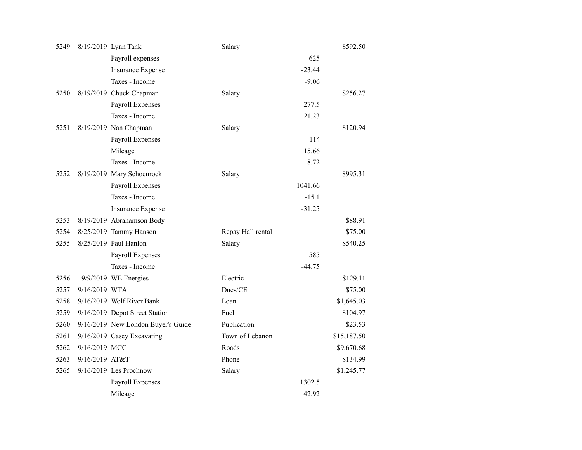| 5249 |                | 8/19/2019 Lynn Tank                | Salary            |          | \$592.50    |
|------|----------------|------------------------------------|-------------------|----------|-------------|
|      |                | Payroll expenses                   |                   | 625      |             |
|      |                | <b>Insurance Expense</b>           |                   | $-23.44$ |             |
|      |                | Taxes - Income                     |                   | $-9.06$  |             |
| 5250 |                | 8/19/2019 Chuck Chapman            | Salary            |          | \$256.27    |
|      |                | Payroll Expenses                   |                   | 277.5    |             |
|      |                | Taxes - Income                     |                   | 21.23    |             |
| 5251 |                | 8/19/2019 Nan Chapman              | Salary            |          | \$120.94    |
|      |                | Payroll Expenses                   |                   | 114      |             |
|      |                | Mileage                            |                   | 15.66    |             |
|      |                | Taxes - Income                     |                   | $-8.72$  |             |
| 5252 |                | 8/19/2019 Mary Schoenrock          | Salary            |          | \$995.31    |
|      |                | Payroll Expenses                   |                   | 1041.66  |             |
|      |                | Taxes - Income                     |                   | $-15.1$  |             |
|      |                | <b>Insurance Expense</b>           |                   | $-31.25$ |             |
| 5253 |                | 8/19/2019 Abrahamson Body          |                   |          | \$88.91     |
| 5254 |                | 8/25/2019 Tammy Hanson             | Repay Hall rental |          | \$75.00     |
| 5255 |                | 8/25/2019 Paul Hanlon              | Salary            |          | \$540.25    |
|      |                | Payroll Expenses                   |                   | 585      |             |
|      |                | Taxes - Income                     |                   | $-44.75$ |             |
| 5256 |                | 9/9/2019 WE Energies               | Electric          |          | \$129.11    |
| 5257 | 9/16/2019 WTA  |                                    | Dues/CE           |          | \$75.00     |
| 5258 |                | 9/16/2019 Wolf River Bank          | Loan              |          | \$1,645.03  |
| 5259 |                | 9/16/2019 Depot Street Station     | Fuel              |          | \$104.97    |
| 5260 |                | 9/16/2019 New London Buyer's Guide | Publication       |          | \$23.53     |
| 5261 |                | 9/16/2019 Casey Excavating         | Town of Lebanon   |          | \$15,187.50 |
| 5262 | 9/16/2019 MCC  |                                    | Roads             |          | \$9,670.68  |
| 5263 | 9/16/2019 AT&T |                                    | Phone             |          | \$134.99    |
| 5265 |                | $9/16/2019$ Les Prochnow           | Salary            |          | \$1,245.77  |
|      |                | Payroll Expenses                   |                   | 1302.5   |             |
|      |                | Mileage                            |                   | 42.92    |             |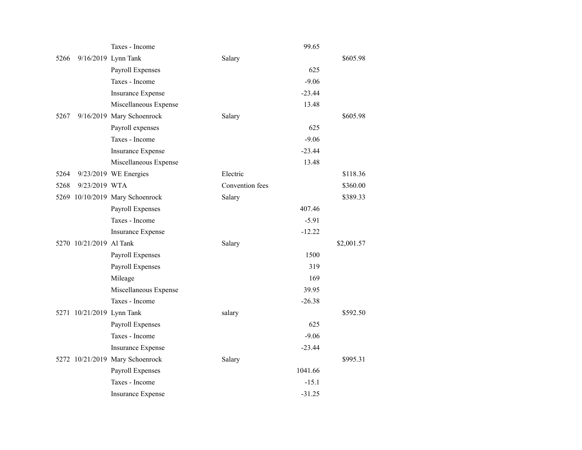|      |                           | Taxes - Income                  | 99.65           |            |
|------|---------------------------|---------------------------------|-----------------|------------|
| 5266 |                           | 9/16/2019 Lynn Tank             | Salary          | \$605.98   |
|      |                           | Payroll Expenses                | 625             |            |
|      |                           | Taxes - Income                  | $-9.06$         |            |
|      |                           | <b>Insurance Expense</b>        | $-23.44$        |            |
|      |                           | Miscellaneous Expense           | 13.48           |            |
| 5267 |                           | 9/16/2019 Mary Schoenrock       | Salary          | \$605.98   |
|      |                           | Payroll expenses                | 625             |            |
|      |                           | Taxes - Income                  | $-9.06$         |            |
|      |                           | <b>Insurance Expense</b>        | $-23.44$        |            |
|      |                           | Miscellaneous Expense           | 13.48           |            |
| 5264 |                           | 9/23/2019 WE Energies           | Electric        | \$118.36   |
| 5268 | 9/23/2019 WTA             |                                 | Convention fees | \$360.00   |
|      |                           | 5269 10/10/2019 Mary Schoenrock | Salary          | \$389.33   |
|      |                           | Payroll Expenses                | 407.46          |            |
|      |                           | Taxes - Income                  | $-5.91$         |            |
|      |                           | <b>Insurance Expense</b>        | $-12.22$        |            |
|      | 5270 10/21/2019 Al Tank   |                                 | Salary          | \$2,001.57 |
|      |                           | Payroll Expenses                | 1500            |            |
|      |                           | Payroll Expenses                | 319             |            |
|      |                           | Mileage                         | 169             |            |
|      |                           | Miscellaneous Expense           | 39.95           |            |
|      |                           | Taxes - Income                  | $-26.38$        |            |
|      | 5271 10/21/2019 Lynn Tank |                                 | salary          | \$592.50   |
|      |                           | Payroll Expenses                | 625             |            |
|      |                           | Taxes - Income                  | $-9.06$         |            |
|      |                           | <b>Insurance Expense</b>        | $-23.44$        |            |
|      |                           | 5272 10/21/2019 Mary Schoenrock | Salary          | \$995.31   |
|      |                           | Payroll Expenses                | 1041.66         |            |
|      |                           | Taxes - Income                  | $-15.1$         |            |
|      |                           | <b>Insurance Expense</b>        | $-31.25$        |            |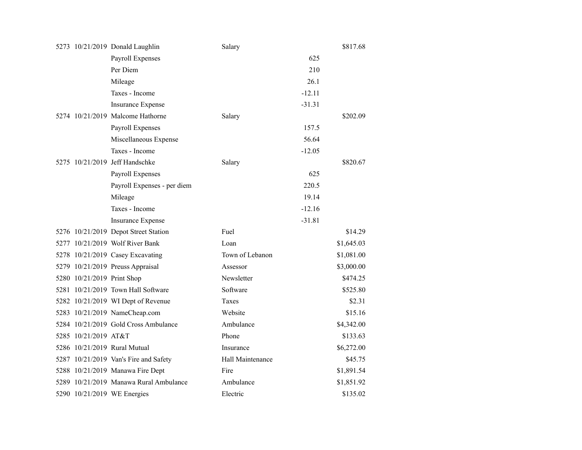|                            | 5273 10/21/2019 Donald Laughlin        | Salary           |            | \$817.68 |
|----------------------------|----------------------------------------|------------------|------------|----------|
|                            | Payroll Expenses                       |                  | 625        |          |
|                            | Per Diem                               |                  | 210        |          |
|                            | Mileage                                |                  | 26.1       |          |
|                            | Taxes - Income                         |                  | $-12.11$   |          |
|                            | <b>Insurance Expense</b>               |                  | $-31.31$   |          |
|                            | 5274 10/21/2019 Malcome Hathorne       | Salary           |            | \$202.09 |
|                            | Payroll Expenses                       |                  | 157.5      |          |
|                            | Miscellaneous Expense                  |                  | 56.64      |          |
|                            | Taxes - Income                         |                  | $-12.05$   |          |
|                            | 5275 10/21/2019 Jeff Handschke         | Salary           |            | \$820.67 |
|                            | Payroll Expenses                       |                  | 625        |          |
|                            | Payroll Expenses - per diem            |                  | 220.5      |          |
|                            | Mileage                                |                  | 19.14      |          |
|                            | Taxes - Income                         |                  | $-12.16$   |          |
|                            | <b>Insurance Expense</b>               |                  | $-31.81$   |          |
|                            | 5276 10/21/2019 Depot Street Station   | Fuel             |            | \$14.29  |
|                            | 5277 10/21/2019 Wolf River Bank        | Loan             | \$1,645.03 |          |
|                            | 5278 10/21/2019 Casey Excavating       | Town of Lebanon  | \$1,081.00 |          |
|                            | 5279 10/21/2019 Preuss Appraisal       | Assessor         | \$3,000.00 |          |
| 5280 10/21/2019 Print Shop |                                        | Newsletter       |            | \$474.25 |
|                            | 5281 10/21/2019 Town Hall Software     | Software         |            | \$525.80 |
|                            | 5282 10/21/2019 WI Dept of Revenue     | Taxes            |            | \$2.31   |
|                            | 5283 10/21/2019 NameCheap.com          | Website          |            | \$15.16  |
|                            | 5284 10/21/2019 Gold Cross Ambulance   | Ambulance        | \$4,342.00 |          |
| 5285 10/21/2019 AT&T       |                                        | Phone            |            | \$133.63 |
|                            | 5286 10/21/2019 Rural Mutual           | Insurance        | \$6,272.00 |          |
|                            | 5287 10/21/2019 Van's Fire and Safety  | Hall Maintenance |            | \$45.75  |
|                            | 5288 10/21/2019 Manawa Fire Dept       | Fire             | \$1,891.54 |          |
|                            | 5289 10/21/2019 Manawa Rural Ambulance | Ambulance        | \$1,851.92 |          |
|                            | 5290 10/21/2019 WE Energies            | Electric         |            | \$135.02 |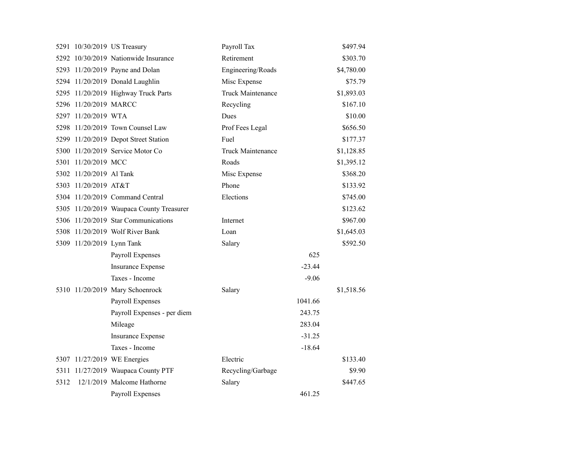|      |                           | 5291 10/30/2019 US Treasury              | Payroll Tax       |          | \$497.94   |
|------|---------------------------|------------------------------------------|-------------------|----------|------------|
|      |                           | 5292 10/30/2019 Nationwide Insurance     | Retirement        |          | \$303.70   |
|      |                           | 5293 11/20/2019 Payne and Dolan          | Engineering/Roads |          | \$4,780.00 |
|      |                           | 5294 11/20/2019 Donald Laughlin          | Misc Expense      |          | \$75.79    |
|      |                           | 5295 11/20/2019 Highway Truck Parts      | Truck Maintenance |          | \$1,893.03 |
|      | 5296 11/20/2019 MARCC     |                                          | Recycling         |          | \$167.10   |
|      | 5297 11/20/2019 WTA       |                                          | Dues              |          | \$10.00    |
|      |                           | 5298 11/20/2019 Town Counsel Law         | Prof Fees Legal   |          | \$656.50   |
|      |                           | 5299 11/20/2019 Depot Street Station     | Fuel              |          | \$177.37   |
|      |                           | 5300 11/20/2019 Service Motor Co         | Truck Maintenance |          | \$1,128.85 |
|      | 5301 11/20/2019 MCC       |                                          | Roads             |          | \$1,395.12 |
|      | 5302 11/20/2019 Al Tank   |                                          | Misc Expense      |          | \$368.20   |
|      | 5303 11/20/2019 AT&T      |                                          | Phone             |          | \$133.92   |
|      |                           | 5304 11/20/2019 Command Central          | Elections         |          | \$745.00   |
|      |                           | 5305 11/20/2019 Waupaca County Treasurer |                   |          | \$123.62   |
|      |                           | 5306 11/20/2019 Star Communications      | Internet          |          | \$967.00   |
|      |                           | 5308 11/20/2019 Wolf River Bank          | Loan              |          | \$1,645.03 |
|      | 5309 11/20/2019 Lynn Tank |                                          | Salary            |          | \$592.50   |
|      |                           | Payroll Expenses                         |                   | 625      |            |
|      |                           | <b>Insurance Expense</b>                 |                   | $-23.44$ |            |
|      |                           | Taxes - Income                           |                   | $-9.06$  |            |
|      |                           | 5310 11/20/2019 Mary Schoenrock          | Salary            |          | \$1,518.56 |
|      |                           | Payroll Expenses                         |                   | 1041.66  |            |
|      |                           | Payroll Expenses - per diem              |                   | 243.75   |            |
|      |                           | Mileage                                  |                   | 283.04   |            |
|      |                           | <b>Insurance Expense</b>                 |                   | $-31.25$ |            |
|      |                           | Taxes - Income                           |                   | $-18.64$ |            |
|      |                           | 5307 11/27/2019 WE Energies              | Electric          |          | \$133.40   |
|      |                           | 5311 11/27/2019 Waupaca County PTF       | Recycling/Garbage |          | \$9.90     |
| 5312 |                           | 12/1/2019 Malcome Hathorne               | Salary            |          | \$447.65   |
|      |                           | <b>Payroll Expenses</b>                  |                   | 461.25   |            |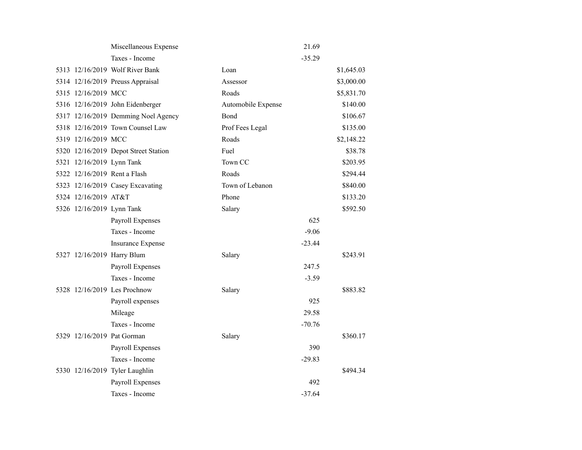|                      | Miscellaneous Expense                |                    | 21.69    |            |
|----------------------|--------------------------------------|--------------------|----------|------------|
|                      | Taxes - Income                       |                    | $-35.29$ |            |
|                      | 5313 12/16/2019 Wolf River Bank      | Loan               |          | \$1,645.03 |
|                      | 5314 12/16/2019 Preuss Appraisal     | Assessor           |          | \$3,000.00 |
| 5315 12/16/2019 MCC  |                                      | Roads              |          | \$5,831.70 |
|                      | 5316 12/16/2019 John Eidenberger     | Automobile Expense |          | \$140.00   |
|                      | 5317 12/16/2019 Demming Noel Agency  | Bond               |          | \$106.67   |
|                      | 5318 12/16/2019 Town Counsel Law     | Prof Fees Legal    |          | \$135.00   |
| 5319 12/16/2019 MCC  |                                      | Roads              |          | \$2,148.22 |
|                      | 5320 12/16/2019 Depot Street Station | Fuel               |          | \$38.78    |
|                      | 5321 12/16/2019 Lynn Tank            | Town CC            |          | \$203.95   |
|                      | 5322 12/16/2019 Rent a Flash         | Roads              |          | \$294.44   |
|                      | 5323 12/16/2019 Casey Excavating     | Town of Lebanon    |          | \$840.00   |
| 5324 12/16/2019 AT&T |                                      | Phone              |          | \$133.20   |
|                      | 5326 12/16/2019 Lynn Tank            | Salary             |          | \$592.50   |
|                      | Payroll Expenses                     |                    | 625      |            |
|                      | Taxes - Income                       |                    | $-9.06$  |            |
|                      | <b>Insurance Expense</b>             |                    | $-23.44$ |            |
|                      | 5327 12/16/2019 Harry Blum           | Salary             |          | \$243.91   |
|                      | Payroll Expenses                     |                    | 247.5    |            |
|                      | Taxes - Income                       |                    | $-3.59$  |            |
|                      | 5328 12/16/2019 Les Prochnow         | Salary             |          | \$883.82   |
|                      | Payroll expenses                     |                    | 925      |            |
|                      | Mileage                              |                    | 29.58    |            |
|                      | Taxes - Income                       |                    | $-70.76$ |            |
|                      | 5329 12/16/2019 Pat Gorman           | Salary             |          | \$360.17   |
|                      | Payroll Expenses                     |                    | 390      |            |
|                      | Taxes - Income                       |                    | $-29.83$ |            |
|                      | 5330 12/16/2019 Tyler Laughlin       |                    |          | \$494.34   |
|                      | Payroll Expenses                     |                    | 492      |            |
|                      | Taxes - Income                       |                    | $-37.64$ |            |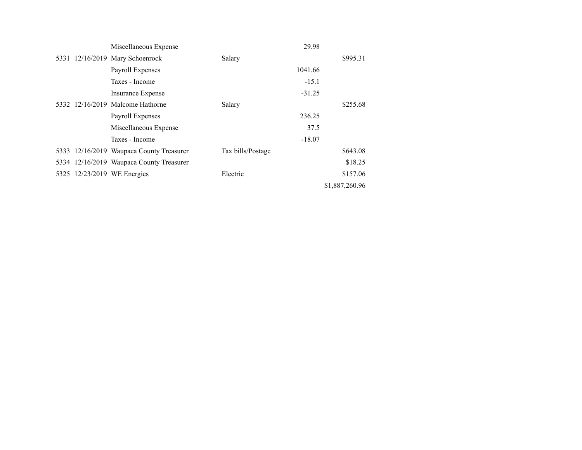|  | Miscellaneous Expense                    |                   | 29.98    |                |
|--|------------------------------------------|-------------------|----------|----------------|
|  | 5331 12/16/2019 Mary Schoenrock          | Salary            |          | \$995.31       |
|  | Payroll Expenses                         |                   | 1041.66  |                |
|  | Taxes - Income                           |                   | $-15.1$  |                |
|  | Insurance Expense                        |                   | $-31.25$ |                |
|  | 5332 12/16/2019 Malcome Hathorne         | Salary            |          | \$255.68       |
|  | Payroll Expenses                         |                   | 236.25   |                |
|  | Miscellaneous Expense                    |                   | 37.5     |                |
|  | Taxes - Income                           |                   | $-18.07$ |                |
|  | 5333 12/16/2019 Waupaca County Treasurer | Tax bills/Postage |          | \$643.08       |
|  | 5334 12/16/2019 Waupaca County Treasurer |                   |          | \$18.25        |
|  | 5325 12/23/2019 WE Energies              | Electric          |          | \$157.06       |
|  |                                          |                   |          | \$1,887,260.96 |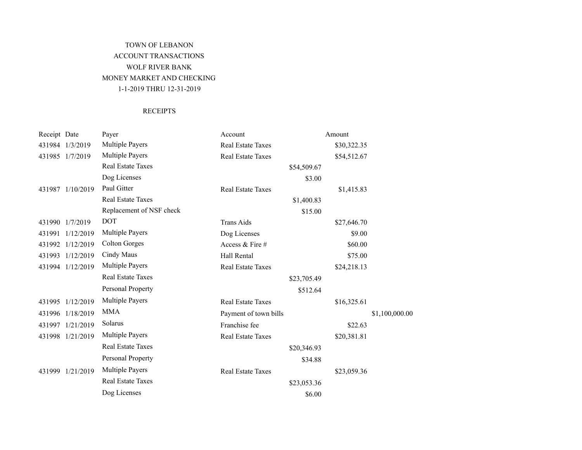# TOWN OF LEBANON ACCOUNT TRANSACTIONS WOLF RIVER BANK MONEY MARKET AND CHECKING 1-1-2019 THRU 12-31-2019

### **RECEIPTS**

| Receipt Date |                  | Payer                    | Account                  |             | Amount      |                |
|--------------|------------------|--------------------------|--------------------------|-------------|-------------|----------------|
|              | 431984 1/3/2019  | <b>Multiple Payers</b>   | Real Estate Taxes        |             | \$30,322.35 |                |
|              | 431985 1/7/2019  | <b>Multiple Payers</b>   | Real Estate Taxes        |             | \$54,512.67 |                |
|              |                  | <b>Real Estate Taxes</b> |                          | \$54,509.67 |             |                |
|              |                  | Dog Licenses             |                          | \$3.00      |             |                |
|              | 431987 1/10/2019 | Paul Gitter              | <b>Real Estate Taxes</b> |             | \$1,415.83  |                |
|              |                  | <b>Real Estate Taxes</b> |                          | \$1,400.83  |             |                |
|              |                  | Replacement of NSF check |                          | \$15.00     |             |                |
|              | 431990 1/7/2019  | <b>DOT</b>               | <b>Trans Aids</b>        |             | \$27,646.70 |                |
| 431991       | 1/12/2019        | <b>Multiple Payers</b>   | Dog Licenses             |             | \$9.00      |                |
|              | 431992 1/12/2019 | <b>Colton Gorges</b>     | Access & Fire #          |             | \$60.00     |                |
|              | 431993 1/12/2019 | Cindy Maus               | Hall Rental              |             | \$75.00     |                |
|              | 431994 1/12/2019 | <b>Multiple Payers</b>   | Real Estate Taxes        |             | \$24,218.13 |                |
|              |                  | <b>Real Estate Taxes</b> |                          | \$23,705.49 |             |                |
|              |                  | Personal Property        |                          | \$512.64    |             |                |
|              | 431995 1/12/2019 | <b>Multiple Payers</b>   | <b>Real Estate Taxes</b> |             | \$16,325.61 |                |
|              | 431996 1/18/2019 | <b>MMA</b>               | Payment of town bills    |             |             | \$1,100,000.00 |
| 431997       | 1/21/2019        | Solarus                  | Franchise fee            |             | \$22.63     |                |
|              | 431998 1/21/2019 | <b>Multiple Payers</b>   | Real Estate Taxes        |             | \$20,381.81 |                |
|              |                  | Real Estate Taxes        |                          | \$20,346.93 |             |                |
|              |                  | Personal Property        |                          | \$34.88     |             |                |
|              | 431999 1/21/2019 | <b>Multiple Payers</b>   | Real Estate Taxes        |             | \$23,059.36 |                |
|              |                  | <b>Real Estate Taxes</b> |                          | \$23,053.36 |             |                |
|              |                  | Dog Licenses             |                          | \$6.00      |             |                |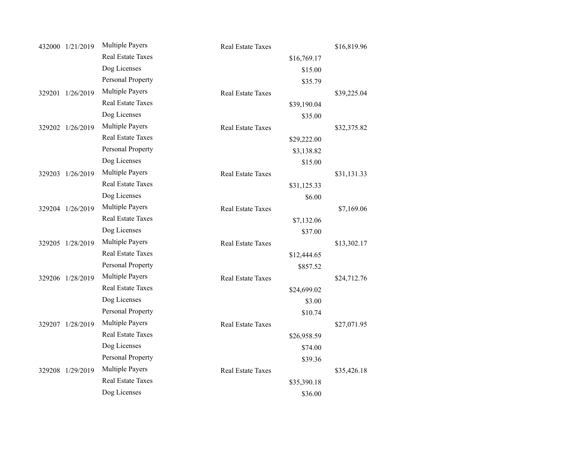| 432000 1/21/2019 | <b>Multiple Payers</b>   | <b>Real Estate Taxes</b> |             | \$16,819.96 |
|------------------|--------------------------|--------------------------|-------------|-------------|
|                  | <b>Real Estate Taxes</b> |                          | \$16,769.17 |             |
|                  | Dog Licenses             |                          | \$15.00     |             |
|                  | Personal Property        |                          | \$35.79     |             |
| 329201 1/26/2019 | Multiple Payers          | <b>Real Estate Taxes</b> |             | \$39,225.04 |
|                  | <b>Real Estate Taxes</b> |                          | \$39,190.04 |             |
|                  | Dog Licenses             |                          | \$35.00     |             |
| 329202 1/26/2019 | <b>Multiple Payers</b>   | <b>Real Estate Taxes</b> |             | \$32,375.82 |
|                  | <b>Real Estate Taxes</b> |                          | \$29,222.00 |             |
|                  | Personal Property        |                          | \$3,138.82  |             |
|                  | Dog Licenses             |                          | \$15.00     |             |
| 329203 1/26/2019 | <b>Multiple Payers</b>   | <b>Real Estate Taxes</b> |             | \$31,131.33 |
|                  | <b>Real Estate Taxes</b> |                          | \$31,125.33 |             |
|                  | Dog Licenses             |                          | \$6.00      |             |
| 329204 1/26/2019 | <b>Multiple Payers</b>   | <b>Real Estate Taxes</b> |             | \$7,169.06  |
|                  | <b>Real Estate Taxes</b> |                          | \$7,132.06  |             |
|                  | Dog Licenses             |                          | \$37.00     |             |
| 329205 1/28/2019 | Multiple Payers          | <b>Real Estate Taxes</b> |             | \$13,302.17 |
|                  | <b>Real Estate Taxes</b> |                          | \$12,444.65 |             |
|                  | Personal Property        |                          | \$857.52    |             |
| 329206 1/28/2019 | <b>Multiple Payers</b>   | <b>Real Estate Taxes</b> |             | \$24,712.76 |
|                  | <b>Real Estate Taxes</b> |                          | \$24,699.02 |             |
|                  | Dog Licenses             |                          | \$3.00      |             |
|                  | Personal Property        |                          | \$10.74     |             |
| 329207 1/28/2019 | <b>Multiple Payers</b>   | Real Estate Taxes        |             | \$27,071.95 |
|                  | <b>Real Estate Taxes</b> |                          | \$26,958.59 |             |
|                  | Dog Licenses             |                          | \$74.00     |             |
|                  | Personal Property        |                          | \$39.36     |             |
| 329208 1/29/2019 | <b>Multiple Payers</b>   | <b>Real Estate Taxes</b> |             | \$35,426.18 |
|                  | <b>Real Estate Taxes</b> |                          | \$35,390.18 |             |
|                  | Dog Licenses             |                          | \$36.00     |             |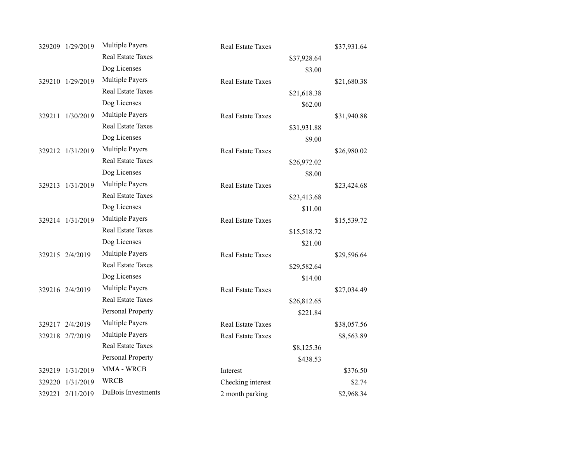| 329209 1/29/2019 | <b>Multiple Payers</b>   | Real Estate Taxes        |             | \$37,931.64 |
|------------------|--------------------------|--------------------------|-------------|-------------|
|                  | <b>Real Estate Taxes</b> |                          | \$37,928.64 |             |
|                  | Dog Licenses             |                          | \$3.00      |             |
| 329210 1/29/2019 | <b>Multiple Payers</b>   | Real Estate Taxes        |             | \$21,680.38 |
|                  | <b>Real Estate Taxes</b> |                          | \$21,618.38 |             |
|                  | Dog Licenses             |                          | \$62.00     |             |
| 329211 1/30/2019 | <b>Multiple Payers</b>   | Real Estate Taxes        |             | \$31,940.88 |
|                  | <b>Real Estate Taxes</b> |                          | \$31,931.88 |             |
|                  | Dog Licenses             |                          | \$9.00      |             |
| 329212 1/31/2019 | <b>Multiple Payers</b>   | Real Estate Taxes        |             | \$26,980.02 |
|                  | <b>Real Estate Taxes</b> |                          | \$26,972.02 |             |
|                  | Dog Licenses             |                          | \$8.00      |             |
| 329213 1/31/2019 | Multiple Payers          | <b>Real Estate Taxes</b> |             | \$23,424.68 |
|                  | <b>Real Estate Taxes</b> |                          | \$23,413.68 |             |
|                  | Dog Licenses             |                          | \$11.00     |             |
| 329214 1/31/2019 | <b>Multiple Payers</b>   | <b>Real Estate Taxes</b> |             | \$15,539.72 |
|                  | <b>Real Estate Taxes</b> |                          | \$15,518.72 |             |
|                  | Dog Licenses             |                          | \$21.00     |             |
| 329215 2/4/2019  | <b>Multiple Payers</b>   | <b>Real Estate Taxes</b> |             | \$29,596.64 |
|                  | <b>Real Estate Taxes</b> |                          | \$29,582.64 |             |
|                  | Dog Licenses             |                          | \$14.00     |             |
| 329216 2/4/2019  | <b>Multiple Payers</b>   | <b>Real Estate Taxes</b> |             | \$27,034.49 |
|                  | <b>Real Estate Taxes</b> |                          | \$26,812.65 |             |
|                  | Personal Property        |                          | \$221.84    |             |
| 329217 2/4/2019  | <b>Multiple Payers</b>   | <b>Real Estate Taxes</b> |             | \$38,057.56 |
| 329218 2/7/2019  | <b>Multiple Payers</b>   | Real Estate Taxes        |             | \$8,563.89  |
|                  | <b>Real Estate Taxes</b> |                          | \$8,125.36  |             |
|                  | Personal Property        |                          | \$438.53    |             |
| 329219 1/31/2019 | MMA - WRCB               | Interest                 |             | \$376.50    |
| 329220 1/31/2019 | WRCB                     | Checking interest        |             | \$2.74      |
| 329221 2/11/2019 | DuBois Investments       | 2 month parking          |             | \$2,968.34  |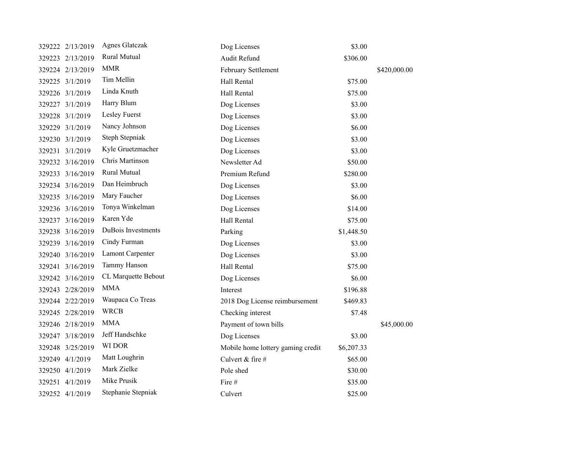|  | 329222 2/13/2019 | <b>Agnes Glatczak</b> | Dog Licenses                      | \$3.00     |              |
|--|------------------|-----------------------|-----------------------------------|------------|--------------|
|  | 329223 2/13/2019 | Rural Mutual          | Audit Refund                      | \$306.00   |              |
|  | 329224 2/13/2019 | <b>MMR</b>            | February Settlement               |            | \$420,000.00 |
|  | 329225 3/1/2019  | Tim Mellin            | Hall Rental                       | \$75.00    |              |
|  | 329226 3/1/2019  | Linda Knuth           | Hall Rental                       | \$75.00    |              |
|  | 329227 3/1/2019  | Harry Blum            | Dog Licenses                      | \$3.00     |              |
|  | 329228 3/1/2019  | Lesley Fuerst         | Dog Licenses                      | \$3.00     |              |
|  | 329229 3/1/2019  | Nancy Johnson         | Dog Licenses                      | \$6.00     |              |
|  | 329230 3/1/2019  | Steph Stepniak        | Dog Licenses                      | \$3.00     |              |
|  | 329231 3/1/2019  | Kyle Gruetzmacher     | Dog Licenses                      | \$3.00     |              |
|  | 329232 3/16/2019 | Chris Martinson       | Newsletter Ad                     | \$50.00    |              |
|  | 329233 3/16/2019 | Rural Mutual          | Premium Refund                    | \$280.00   |              |
|  | 329234 3/16/2019 | Dan Heimbruch         | Dog Licenses                      | \$3.00     |              |
|  | 329235 3/16/2019 | Mary Faucher          | Dog Licenses                      | \$6.00     |              |
|  | 329236 3/16/2019 | Tonya Winkelman       | Dog Licenses                      | \$14.00    |              |
|  | 329237 3/16/2019 | Karen Yde             | Hall Rental                       | \$75.00    |              |
|  | 329238 3/16/2019 | DuBois Investments    | Parking                           | \$1,448.50 |              |
|  | 329239 3/16/2019 | Cindy Furman          | Dog Licenses                      | \$3.00     |              |
|  | 329240 3/16/2019 | Lamont Carpenter      | Dog Licenses                      | \$3.00     |              |
|  | 329241 3/16/2019 | Tammy Hanson          | Hall Rental                       | \$75.00    |              |
|  | 329242 3/16/2019 | CL Marquette Bebout   | Dog Licenses                      | \$6.00     |              |
|  | 329243 2/28/2019 | <b>MMA</b>            | Interest                          | \$196.88   |              |
|  | 329244 2/22/2019 | Waupaca Co Treas      | 2018 Dog License reimbursement    | \$469.83   |              |
|  | 329245 2/28/2019 | <b>WRCB</b>           | Checking interest                 | \$7.48     |              |
|  | 329246 2/18/2019 | <b>MMA</b>            | Payment of town bills             |            | \$45,000.00  |
|  | 329247 3/18/2019 | Jeff Handschke        | Dog Licenses                      | \$3.00     |              |
|  | 329248 3/25/2019 | WI DOR                | Mobile home lottery gaming credit | \$6,207.33 |              |
|  | 329249 4/1/2019  | Matt Loughrin         | Culvert & fire #                  | \$65.00    |              |
|  | 329250 4/1/2019  | Mark Zielke           | Pole shed                         | \$30.00    |              |
|  | 329251 4/1/2019  | Mike Prusik           | Fire #                            | \$35.00    |              |
|  | 329252 4/1/2019  | Stephanie Stepniak    | Culvert                           | \$25.00    |              |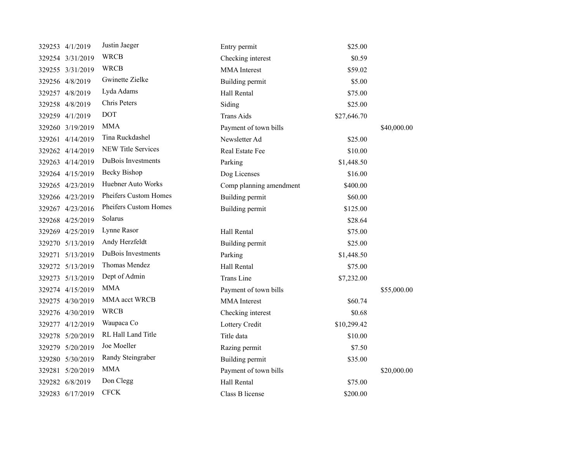| 329253 4/1/2019  | Justin Jaeger             | Entry permit            | \$25.00     |             |
|------------------|---------------------------|-------------------------|-------------|-------------|
| 329254 3/31/2019 | <b>WRCB</b>               | Checking interest       | \$0.59      |             |
| 329255 3/31/2019 | <b>WRCB</b>               | <b>MMA</b> Interest     | \$59.02     |             |
| 329256 4/8/2019  | Gwinette Zielke           | Building permit         | \$5.00      |             |
| 329257 4/8/2019  | Lyda Adams                | Hall Rental             | \$75.00     |             |
| 329258 4/8/2019  | Chris Peters              | Siding                  | \$25.00     |             |
| 329259 4/1/2019  | <b>DOT</b>                | <b>Trans Aids</b>       | \$27,646.70 |             |
| 329260 3/19/2019 | <b>MMA</b>                | Payment of town bills   |             | \$40,000.00 |
| 329261 4/14/2019 | Tina Ruckdashel           | Newsletter Ad           | \$25.00     |             |
| 329262 4/14/2019 | <b>NEW Title Services</b> | Real Estate Fee         | \$10.00     |             |
| 329263 4/14/2019 | DuBois Investments        | Parking                 | \$1,448.50  |             |
| 329264 4/15/2019 | <b>Becky Bishop</b>       | Dog Licenses            | \$16.00     |             |
| 329265 4/23/2019 | Huebner Auto Works        | Comp planning amendment | \$400.00    |             |
| 329266 4/23/2019 | Pheifers Custom Homes     | Building permit         | \$60.00     |             |
| 329267 4/23/2016 | Pheifers Custom Homes     | Building permit         | \$125.00    |             |
| 329268 4/25/2019 | Solarus                   |                         | \$28.64     |             |
| 329269 4/25/2019 | Lynne Rasor               | Hall Rental             | \$75.00     |             |
| 329270 5/13/2019 | Andy Herzfeldt            | Building permit         | \$25.00     |             |
| 329271 5/13/2019 | DuBois Investments        | Parking                 | \$1,448.50  |             |
| 329272 5/13/2019 | Thomas Mendez             | Hall Rental             | \$75.00     |             |
| 329273 5/13/2019 | Dept of Admin             | <b>Trans Line</b>       | \$7,232.00  |             |
| 329274 4/15/2019 | <b>MMA</b>                | Payment of town bills   |             | \$55,000.00 |
| 329275 4/30/2019 | MMA acct WRCB             | <b>MMA</b> Interest     | \$60.74     |             |
| 329276 4/30/2019 | <b>WRCB</b>               | Checking interest       | \$0.68      |             |
| 329277 4/12/2019 | Waupaca Co                | Lottery Credit          | \$10,299.42 |             |
| 329278 5/20/2019 | RL Hall Land Title        | Title data              | \$10.00     |             |
| 329279 5/20/2019 | Joe Moeller               | Razing permit           | \$7.50      |             |
| 329280 5/30/2019 | Randy Steingraber         | Building permit         | \$35.00     |             |
| 329281 5/20/2019 | <b>MMA</b>                | Payment of town bills   |             | \$20,000.00 |
| 329282 6/8/2019  | Don Clegg                 | Hall Rental             | \$75.00     |             |
| 329283 6/17/2019 | ${\rm CFCK}$              | Class B license         | \$200.00    |             |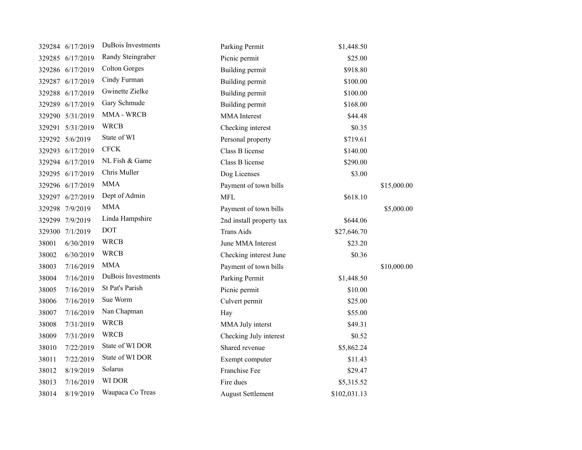|        | 329284 6/17/2019 | DuBois Investments   | Parking Permit           | \$1,448.50   |             |
|--------|------------------|----------------------|--------------------------|--------------|-------------|
|        | 329285 6/17/2019 | Randy Steingraber    | Picnic permit            | \$25.00      |             |
|        | 329286 6/17/2019 | <b>Colton Gorges</b> | Building permit          | \$918.80     |             |
|        | 329287 6/17/2019 | Cindy Furman         | Building permit          | \$100.00     |             |
|        | 329288 6/17/2019 | Gwinette Zielke      | Building permit          | \$100.00     |             |
|        | 329289 6/17/2019 | Gary Schmude         | Building permit          | \$168.00     |             |
|        | 329290 5/31/2019 | MMA - WRCB           | <b>MMA</b> Interest      | \$44.48      |             |
|        | 329291 5/31/2019 | <b>WRCB</b>          | Checking interest        | \$0.35       |             |
|        | 329292 5/6/2019  | State of WI          | Personal property        | \$719.61     |             |
|        | 329293 6/17/2019 | <b>CFCK</b>          | Class B license          | \$140.00     |             |
|        | 329294 6/17/2019 | NL Fish & Game       | Class B license          | \$290.00     |             |
|        | 329295 6/17/2019 | Chris Muller         | Dog Licenses             | \$3.00       |             |
|        | 329296 6/17/2019 | <b>MMA</b>           | Payment of town bills    |              | \$15,000.00 |
|        | 329297 6/27/2019 | Dept of Admin        | <b>MFL</b>               | \$618.10     |             |
|        | 329298 7/9/2019  | <b>MMA</b>           | Payment of town bills    |              | \$5,000.00  |
|        | 329299 7/9/2019  | Linda Hampshire      | 2nd install property tax | \$644.06     |             |
| 329300 | 7/1/2019         | <b>DOT</b>           | <b>Trans Aids</b>        | \$27,646.70  |             |
| 38001  | 6/30/2019        | <b>WRCB</b>          | June MMA Interest        | \$23.20      |             |
| 38002  | 6/30/2019        | <b>WRCB</b>          | Checking interest June   | \$0.36       |             |
| 38003  | 7/16/2019        | <b>MMA</b>           | Payment of town bills    |              | \$10,000.00 |
| 38004  | 7/16/2019        | DuBois Investments   | Parking Permit           | \$1,448.50   |             |
| 38005  | 7/16/2019        | St Pat's Parish      | Picnic permit            | \$10.00      |             |
| 38006  | 7/16/2019        | Sue Worm             | Culvert permit           | \$25.00      |             |
| 38007  | 7/16/2019        | Nan Chapman          | Hay                      | \$55.00      |             |
| 38008  | 7/31/2019        | <b>WRCB</b>          | MMA July interst         | \$49.31      |             |
| 38009  | 7/31/2019        | <b>WRCB</b>          | Checking July interest   | \$0.52       |             |
| 38010  | 7/22/2019        | State of WI DOR      | Shared revenue           | \$5,862.24   |             |
| 38011  | 7/22/2019        | State of WI DOR      | Exempt computer          | \$11.43      |             |
| 38012  | 8/19/2019        | Solarus              | Franchise Fee            | \$29.47      |             |
| 38013  | 7/16/2019        | WI DOR               | Fire dues                | \$5,315.52   |             |
| 38014  | 8/19/2019        | Waupaca Co Treas     | <b>August Settlement</b> | \$102,031.13 |             |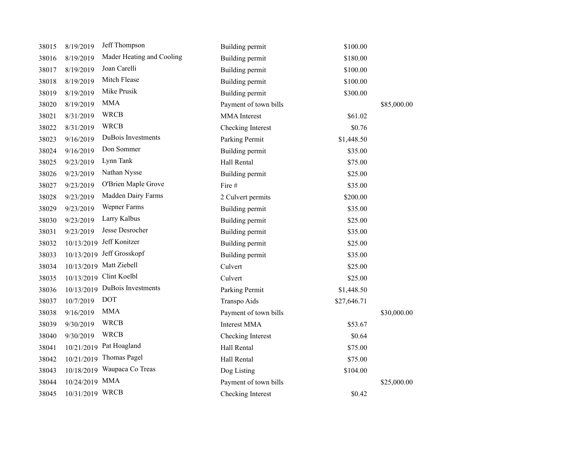| 38015 | 8/19/2019       | Jeff Thompson                 | Building permit        | \$100.00    |             |
|-------|-----------------|-------------------------------|------------------------|-------------|-------------|
| 38016 | 8/19/2019       | Mader Heating and Cooling     | Building permit        | \$180.00    |             |
| 38017 | 8/19/2019       | Joan Carelli                  | Building permit        | \$100.00    |             |
| 38018 | 8/19/2019       | Mitch Flease                  | <b>Building permit</b> | \$100.00    |             |
| 38019 | 8/19/2019       | Mike Prusik                   | Building permit        | \$300.00    |             |
| 38020 | 8/19/2019       | <b>MMA</b>                    | Payment of town bills  |             | \$85,000.00 |
| 38021 | 8/31/2019       | <b>WRCB</b>                   | <b>MMA</b> Interest    | \$61.02     |             |
| 38022 | 8/31/2019       | <b>WRCB</b>                   | Checking Interest      | \$0.76      |             |
| 38023 | 9/16/2019       | DuBois Investments            | Parking Permit         | \$1,448.50  |             |
| 38024 | 9/16/2019       | Don Sommer                    | Building permit        | \$35.00     |             |
| 38025 | 9/23/2019       | Lynn Tank                     | Hall Rental            | \$75.00     |             |
| 38026 | 9/23/2019       | Nathan Nysse                  | Building permit        | \$25.00     |             |
| 38027 | 9/23/2019       | O'Brien Maple Grove           | Fire #                 | \$35.00     |             |
| 38028 | 9/23/2019       | Madden Dairy Farms            | 2 Culvert permits      | \$200.00    |             |
| 38029 | 9/23/2019       | Wepner Farms                  | Building permit        | \$35.00     |             |
| 38030 | 9/23/2019       | Larry Kalbus                  | Building permit        | \$25.00     |             |
| 38031 | 9/23/2019       | Jesse Desrocher               | Building permit        | \$35.00     |             |
| 38032 | 10/13/2019      | Jeff Konitzer                 | Building permit        | \$25.00     |             |
| 38033 | 10/13/2019      | Jeff Grosskopf                | Building permit        | \$35.00     |             |
| 38034 |                 | 10/13/2019 Matt Ziebell       | Culvert                | \$25.00     |             |
| 38035 |                 | 10/13/2019 Clint Koelbl       | Culvert                | \$25.00     |             |
| 38036 |                 | 10/13/2019 DuBois Investments | Parking Permit         | \$1,448.50  |             |
| 38037 | 10/7/2019       | <b>DOT</b>                    | Transpo Aids           | \$27,646.71 |             |
| 38038 | 9/16/2019       | <b>MMA</b>                    | Payment of town bills  |             | \$30,000.00 |
| 38039 | 9/30/2019       | <b>WRCB</b>                   | <b>Interest MMA</b>    | \$53.67     |             |
| 38040 | 9/30/2019       | <b>WRCB</b>                   | Checking Interest      | \$0.64      |             |
| 38041 | 10/21/2019      | Pat Hoagland                  | Hall Rental            | \$75.00     |             |
| 38042 | 10/21/2019      | Thomas Pagel                  | Hall Rental            | \$75.00     |             |
| 38043 | 10/18/2019      | Waupaca Co Treas              | Dog Listing            | \$104.00    |             |
| 38044 | 10/24/2019 MMA  |                               | Payment of town bills  |             | \$25,000.00 |
| 38045 | 10/31/2019 WRCB |                               | Checking Interest      | \$0.42      |             |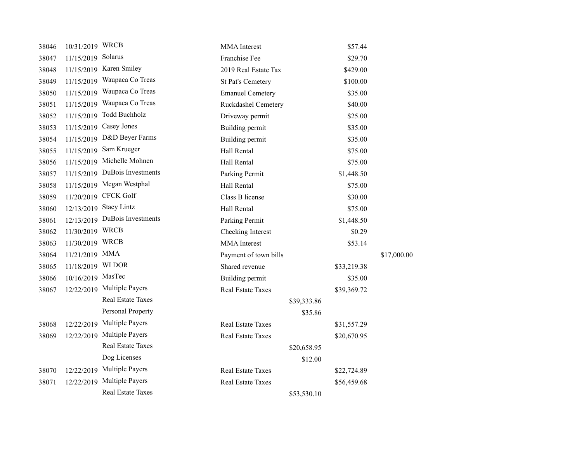|            | <b>WRCB</b>              | <b>MMA</b> Interest                                                                                                       |         | \$57.44                                   |             |
|------------|--------------------------|---------------------------------------------------------------------------------------------------------------------------|---------|-------------------------------------------|-------------|
| 11/15/2019 | Solarus                  | Franchise Fee                                                                                                             |         | \$29.70                                   |             |
| 11/15/2019 | Karen Smiley             | 2019 Real Estate Tax                                                                                                      |         | \$429.00                                  |             |
| 11/15/2019 | Waupaca Co Treas         | <b>St Pat's Cemetery</b>                                                                                                  |         | \$100.00                                  |             |
| 11/15/2019 | Waupaca Co Treas         | <b>Emanuel Cemetery</b>                                                                                                   |         | \$35.00                                   |             |
| 11/15/2019 | Waupaca Co Treas         | Ruckdashel Cemetery                                                                                                       |         | \$40.00                                   |             |
| 11/15/2019 | <b>Todd Buchholz</b>     | Driveway permit                                                                                                           |         | \$25.00                                   |             |
| 11/15/2019 | Casey Jones              | Building permit                                                                                                           |         | \$35.00                                   |             |
| 11/15/2019 | D&D Beyer Farms          | Building permit                                                                                                           |         | \$35.00                                   |             |
| 11/15/2019 | Sam Krueger              | Hall Rental                                                                                                               |         | \$75.00                                   |             |
| 11/15/2019 | Michelle Mohnen          | Hall Rental                                                                                                               |         | \$75.00                                   |             |
| 11/15/2019 | DuBois Investments       | Parking Permit                                                                                                            |         | \$1,448.50                                |             |
| 11/15/2019 | Megan Westphal           | Hall Rental                                                                                                               |         | \$75.00                                   |             |
| 11/20/2019 | <b>CFCK Golf</b>         | Class B license                                                                                                           |         | \$30.00                                   |             |
| 12/13/2019 | <b>Stacy Lintz</b>       | Hall Rental                                                                                                               |         | \$75.00                                   |             |
| 12/13/2019 | DuBois Investments       | Parking Permit                                                                                                            |         | \$1,448.50                                |             |
|            | <b>WRCB</b>              | Checking Interest                                                                                                         |         | \$0.29                                    |             |
|            | <b>WRCB</b>              | <b>MMA</b> Interest                                                                                                       |         | \$53.14                                   |             |
|            |                          | Payment of town bills                                                                                                     |         |                                           | \$17,000.00 |
|            | WI DOR                   | Shared revenue                                                                                                            |         | \$33,219.38                               |             |
|            |                          | Building permit                                                                                                           |         | \$35.00                                   |             |
|            |                          | <b>Real Estate Taxes</b>                                                                                                  |         | \$39,369.72                               |             |
|            | <b>Real Estate Taxes</b> |                                                                                                                           |         |                                           |             |
|            | Personal Property        |                                                                                                                           | \$35.86 |                                           |             |
| 12/22/2019 | Multiple Payers          | <b>Real Estate Taxes</b>                                                                                                  |         | \$31,557.29                               |             |
| 12/22/2019 | <b>Multiple Payers</b>   | Real Estate Taxes                                                                                                         |         | \$20,670.95                               |             |
|            | <b>Real Estate Taxes</b> |                                                                                                                           |         |                                           |             |
|            | Dog Licenses             |                                                                                                                           | \$12.00 |                                           |             |
| 12/22/2019 | <b>Multiple Payers</b>   | Real Estate Taxes                                                                                                         |         | \$22,724.89                               |             |
| 12/22/2019 | <b>Multiple Payers</b>   | <b>Real Estate Taxes</b>                                                                                                  |         | \$56,459.68                               |             |
|            | <b>Real Estate Taxes</b> |                                                                                                                           |         |                                           |             |
|            |                          | 10/31/2019<br>11/30/2019<br>11/30/2019<br>11/21/2019 MMA<br>11/18/2019<br>10/16/2019 MasTec<br>12/22/2019 Multiple Payers |         | \$39,333.86<br>\$20,658.95<br>\$53,530.10 |             |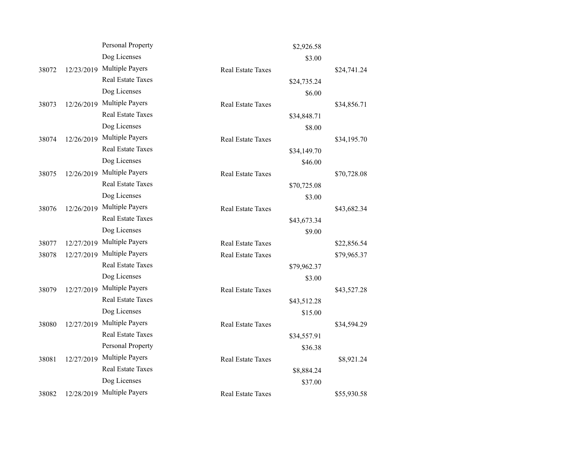|       |            | Personal Property        |                          | \$2,926.58  |             |
|-------|------------|--------------------------|--------------------------|-------------|-------------|
|       |            | Dog Licenses             |                          | \$3.00      |             |
| 38072 | 12/23/2019 | <b>Multiple Payers</b>   | Real Estate Taxes        |             | \$24,741.24 |
|       |            | <b>Real Estate Taxes</b> |                          | \$24,735.24 |             |
|       |            | Dog Licenses             |                          | \$6.00      |             |
| 38073 | 12/26/2019 | Multiple Payers          | <b>Real Estate Taxes</b> |             | \$34,856.71 |
|       |            | <b>Real Estate Taxes</b> |                          | \$34,848.71 |             |
|       |            | Dog Licenses             |                          | \$8.00      |             |
| 38074 | 12/26/2019 | <b>Multiple Payers</b>   | <b>Real Estate Taxes</b> |             | \$34,195.70 |
|       |            | <b>Real Estate Taxes</b> |                          | \$34,149.70 |             |
|       |            | Dog Licenses             |                          | \$46.00     |             |
| 38075 | 12/26/2019 | <b>Multiple Payers</b>   | <b>Real Estate Taxes</b> |             | \$70,728.08 |
|       |            | <b>Real Estate Taxes</b> |                          | \$70,725.08 |             |
|       |            | Dog Licenses             |                          | \$3.00      |             |
| 38076 | 12/26/2019 | <b>Multiple Payers</b>   | <b>Real Estate Taxes</b> |             | \$43,682.34 |
|       |            | <b>Real Estate Taxes</b> |                          | \$43,673.34 |             |
|       |            | Dog Licenses             |                          | \$9.00      |             |
| 38077 | 12/27/2019 | <b>Multiple Payers</b>   | Real Estate Taxes        |             | \$22,856.54 |
| 38078 | 12/27/2019 | <b>Multiple Payers</b>   | <b>Real Estate Taxes</b> |             | \$79,965.37 |
|       |            | <b>Real Estate Taxes</b> |                          | \$79,962.37 |             |
|       |            | Dog Licenses             |                          | \$3.00      |             |
| 38079 | 12/27/2019 | <b>Multiple Payers</b>   | <b>Real Estate Taxes</b> |             | \$43,527.28 |
|       |            | <b>Real Estate Taxes</b> |                          | \$43,512.28 |             |
|       |            | Dog Licenses             |                          | \$15.00     |             |
| 38080 | 12/27/2019 | <b>Multiple Payers</b>   | <b>Real Estate Taxes</b> |             | \$34,594.29 |
|       |            | <b>Real Estate Taxes</b> |                          | \$34,557.91 |             |
|       |            | Personal Property        |                          | \$36.38     |             |
| 38081 | 12/27/2019 | Multiple Payers          | <b>Real Estate Taxes</b> |             | \$8,921.24  |
|       |            | <b>Real Estate Taxes</b> |                          | \$8,884.24  |             |
|       |            | Dog Licenses             |                          | \$37.00     |             |
| 38082 | 12/28/2019 | <b>Multiple Payers</b>   | <b>Real Estate Taxes</b> |             | \$55,930.58 |
|       |            |                          |                          |             |             |